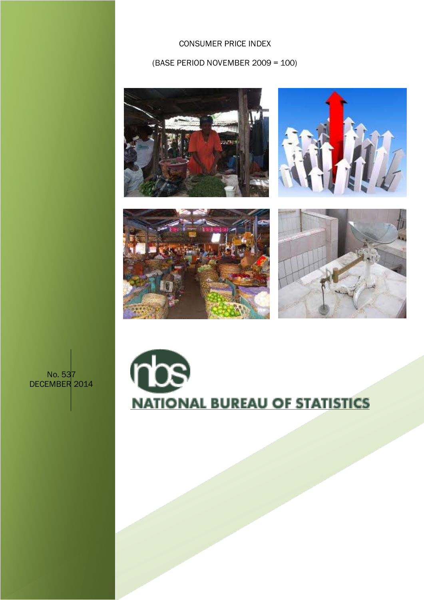## CONSUMER PRICE INDEX

### (BASE PERIOD NOVEMBER 2009 = 100)









# No. 537 DECEMBER 2014

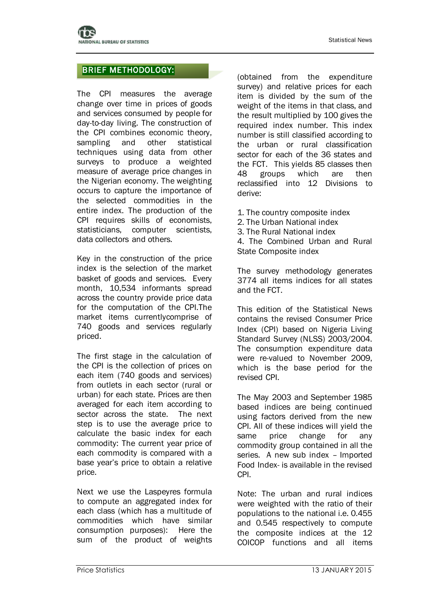# BRIEF METHODOLOGY:

The CPI measures the average change over time in prices of goods and services consumed by people for day-to-day living. The construction of the CPI combines economic theory, sampling and other statistical techniques using data from other surveys to produce a weighted measure of average price changes in the Nigerian economy. The weighting occurs to capture the importance of the selected commodities in the entire index. The production of the CPI requires skills of economists, statisticians, computer scientists, data collectors and others.

Key in the construction of the price index is the selection of the market basket of goods and services. Every month, 10,534 informants spread across the country provide price data for the computation of the CPI.The market items currentlycomprise of 740 goods and services regularly priced.

The first stage in the calculation of the CPI is the collection of prices on each item (740 goods and services) from outlets in each sector (rural or urban) for each state. Prices are then averaged for each item according to sector across the state. The next step is to use the average price to calculate the basic index for each commodity: The current year price of each commodity is compared with a base year's price to obtain a relative price.

Next we use the Laspeyres formula to compute an aggregated index for each class (which has a multitude of commodities which have similar consumption purposes): Here the sum of the product of weights

(obtained from the expenditure survey) and relative prices for each item is divided by the sum of the weight of the items in that class, and the result multiplied by 100 gives the required index number. This index number is still classified according to the urban or rural classification sector for each of the 36 states and the FCT. This yields 85 classes then 48 groups which are then reclassified into 12 Divisions to derive:

- 1. The country composite index 2. The Urban National index
- 3. The Rural National index
- 4. The Combined Urban and Rural State Composite index

The survey methodology generates 3774 all items indices for all states and the FCT.

This edition of the Statistical News contains the revised Consumer Price Index (CPI) based on Nigeria Living Standard Survey (NLSS) 2003/2004. The consumption expenditure data were re-valued to November 2009, which is the base period for the revised CPI.

The May 2003 and September 1985 based indices are being continued using factors derived from the new CPI. All of these indices will yield the same price change for any commodity group contained in all the series. A new sub index – Imported Food Index- is available in the revised CPI.

Note: The urban and rural indices were weighted with the ratio of their populations to the national i.e. 0.455 and 0.545 respectively to compute the composite indices at the 12 COICOP functions and all items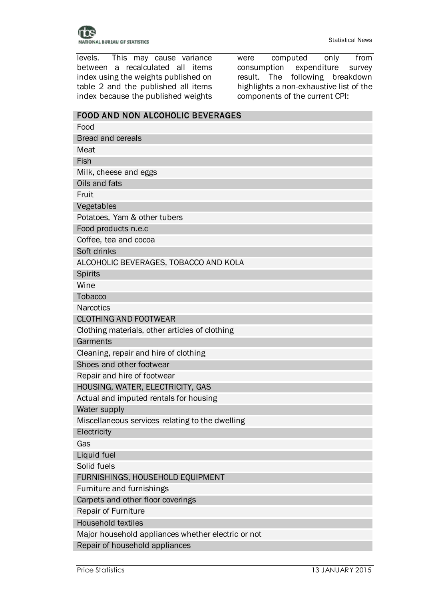

levels. This may cause variance between a recalculated all items index using the weights published on table 2 and the published all items index because the published weights

were computed only from<br>consumption expenditure survey expenditure survey result. The following breakdown highlights a non-exhaustive list of the components of the current CPI:

| <b>FOOD AND NON ALCOHOLIC BEVERAGES</b>            |
|----------------------------------------------------|
| Food                                               |
| <b>Bread and cereals</b>                           |
| Meat                                               |
| Fish                                               |
| Milk, cheese and eggs                              |
| Oils and fats                                      |
| Fruit                                              |
| Vegetables                                         |
| Potatoes, Yam & other tubers                       |
| Food products n.e.c                                |
| Coffee, tea and cocoa                              |
| Soft drinks                                        |
| ALCOHOLIC BEVERAGES, TOBACCO AND KOLA              |
| <b>Spirits</b>                                     |
| Wine                                               |
| Tobacco                                            |
| <b>Narcotics</b>                                   |
| <b>CLOTHING AND FOOTWEAR</b>                       |
| Clothing materials, other articles of clothing     |
| Garments                                           |
| Cleaning, repair and hire of clothing              |
| Shoes and other footwear                           |
| Repair and hire of footwear                        |
| HOUSING, WATER, ELECTRICITY, GAS                   |
| Actual and imputed rentals for housing             |
| Water supply                                       |
| Miscellaneous services relating to the dwelling    |
| Electricity                                        |
| Gas                                                |
| Liquid fuel                                        |
| Solid fuels                                        |
| FURNISHINGS, HOUSEHOLD EQUIPMENT                   |
| Furniture and furnishings                          |
| Carpets and other floor coverings                  |
| <b>Repair of Furniture</b>                         |
| <b>Household textiles</b>                          |
| Major household appliances whether electric or not |
| Repair of household appliances                     |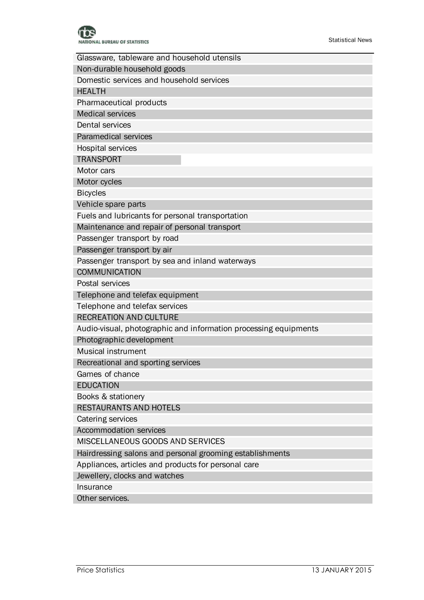

| Non-durable household goods<br>Domestic services and household services<br><b>HEALTH</b><br>Pharmaceutical products<br><b>Medical services</b><br><b>Dental services</b><br>Paramedical services<br><b>Hospital services</b> |
|------------------------------------------------------------------------------------------------------------------------------------------------------------------------------------------------------------------------------|
|                                                                                                                                                                                                                              |
|                                                                                                                                                                                                                              |
|                                                                                                                                                                                                                              |
|                                                                                                                                                                                                                              |
|                                                                                                                                                                                                                              |
|                                                                                                                                                                                                                              |
|                                                                                                                                                                                                                              |
|                                                                                                                                                                                                                              |
| <b>TRANSPORT</b>                                                                                                                                                                                                             |
| Motor cars                                                                                                                                                                                                                   |
| Motor cycles                                                                                                                                                                                                                 |
| <b>Bicycles</b>                                                                                                                                                                                                              |
| Vehicle spare parts                                                                                                                                                                                                          |
| Fuels and lubricants for personal transportation                                                                                                                                                                             |
| Maintenance and repair of personal transport                                                                                                                                                                                 |
| Passenger transport by road                                                                                                                                                                                                  |
| Passenger transport by air                                                                                                                                                                                                   |
| Passenger transport by sea and inland waterways                                                                                                                                                                              |
| <b>COMMUNICATION</b>                                                                                                                                                                                                         |
| Postal services                                                                                                                                                                                                              |
| Telephone and telefax equipment                                                                                                                                                                                              |
| Telephone and telefax services                                                                                                                                                                                               |
| <b>RECREATION AND CULTURE</b>                                                                                                                                                                                                |
| Audio-visual, photographic and information processing equipments                                                                                                                                                             |
| Photographic development                                                                                                                                                                                                     |
| <b>Musical instrument</b>                                                                                                                                                                                                    |
| Recreational and sporting services                                                                                                                                                                                           |
| Games of chance                                                                                                                                                                                                              |
| <b>EDUCATION</b>                                                                                                                                                                                                             |
| Books & stationery                                                                                                                                                                                                           |
| RESTAURANTS AND HOTELS                                                                                                                                                                                                       |
| Catering services                                                                                                                                                                                                            |
| <b>Accommodation services</b>                                                                                                                                                                                                |
| MISCELLANEOUS GOODS AND SERVICES                                                                                                                                                                                             |
| Hairdressing salons and personal grooming establishments                                                                                                                                                                     |
| Appliances, articles and products for personal care                                                                                                                                                                          |
| Jewellery, clocks and watches                                                                                                                                                                                                |
| Insurance                                                                                                                                                                                                                    |
| Other services.                                                                                                                                                                                                              |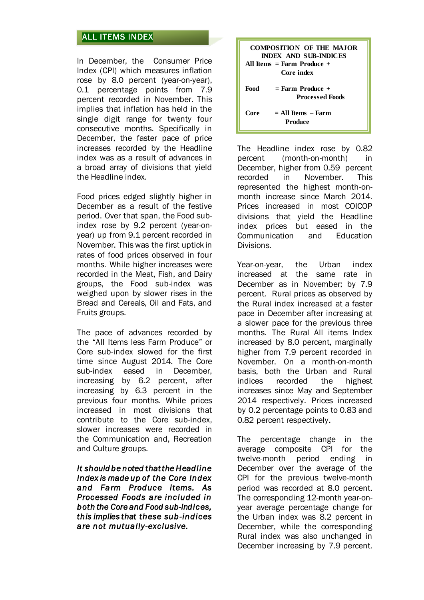# ALL ITEMS INDEX

In December, the Consumer Price Index (CPI) which measures inflation rose by 8.0 percent (year-on-year), 0.1 percentage points from 7.9 percent recorded in November. This implies that inflation has held in the single digit range for twenty four consecutive months. Specifically in December, the faster pace of price increases recorded by the Headline index was as a result of advances in a broad array of divisions that yield the Headline index.

Food prices edged slightly higher in December as a result of the festive period. Over that span, the Food subindex rose by 9.2 percent (year-onyear) up from 9.1 percent recorded in November. This was the first uptick in rates of food prices observed in four months. While higher increases were recorded in the Meat, Fish, and Dairy groups, the Food sub-index was weighed upon by slower rises in the Bread and Cereals, Oil and Fats, and Fruits groups.

The pace of advances recorded by the "All Items less Farm Produce" or Core sub-index slowed for the first time since August 2014. The Core sub-index eased in December, increasing by 6.2 percent, after increasing by 6.3 percent in the previous four months. While prices increased in most divisions that contribute to the Core sub-index, slower increases were recorded in the Communication and, Recreation and Culture groups.

*It should be noted that the Headline Index is made up of the Core Index and Farm Produce items. As Processed Foods are included in both the Core and Food sub-indices, this implies that these sub-indices are not mutually-exclusive.* 

|      | COMPOSITION OF THE MAJOR<br><b>INDEX AND SUB-INDICES</b><br>All Items $=$ Farm Produce $+$ |
|------|--------------------------------------------------------------------------------------------|
|      | Core index                                                                                 |
| Food | $=$ Farm Produce $+$<br><b>Processed Foods</b>                                             |
| Core | $=$ All Items $-$ Farm<br>Produce                                                          |

The Headline index rose by 0.82 percent (month-on-month) in December, higher from 0.59 percent recorded in November. This represented the highest month-onmonth increase since March 2014. Prices increased in most COICOP divisions that yield the Headline index prices but eased in the Communication and Education Divisions.

Year-on-year, the Urban index increased at the same rate in December as in November; by 7.9 percent. Rural prices as observed by the Rural index increased at a faster pace in December after increasing at a slower pace for the previous three months. The Rural All items Index increased by 8.0 percent, marginally higher from 7.9 percent recorded in November. On a month-on-month basis, both the Urban and Rural indices recorded the highest increases since May and September 2014 respectively. Prices increased by 0.2 percentage points to 0.83 and 0.82 percent respectively.

The percentage change in the average composite CPI for the twelve-month period ending in December over the average of the CPI for the previous twelve-month period was recorded at 8.0 percent. The corresponding 12-month year-onyear average percentage change for the Urban index was 8.2 percent in December, while the corresponding Rural index was also unchanged in December increasing by 7.9 percent.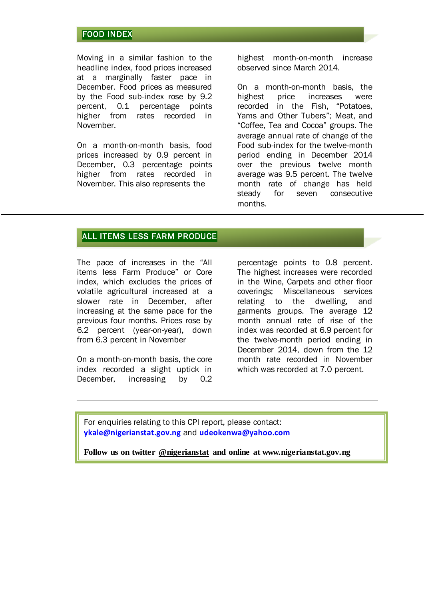### FOOD INDEX

Moving in a similar fashion to the headline index, food prices increased at a marginally faster pace in December. Food prices as measured by the Food sub-index rose by 9.2 percent, 0.1 percentage points higher from rates recorded in November.

On a month-on-month basis, food prices increased by 0.9 percent in December, 0.3 percentage points higher from rates recorded in November. This also represents the

highest month-on-month increase observed since March 2014.

On a month-on-month basis, the highest price increases were recorded in the Fish, "Potatoes, Yams and Other Tubers"; Meat, and "Coffee, Tea and Cocoa" groups. The average annual rate of change of the Food sub-index for the twelve-month period ending in December 2014 over the previous twelve month average was 9.5 percent. The twelve month rate of change has held steady for seven consecutive months.

### ALL ITEMS LESS FARM PRODUCE

The pace of increases in the "All items less Farm Produce" or Core index, which excludes the prices of volatile agricultural increased at a slower rate in December, after increasing at the same pace for the previous four months. Prices rose by 6.2 percent (year-on-year), down from 6.3 percent in November

On a month-on-month basis, the core index recorded a slight uptick in December, increasing by 0.2

percentage points to 0.8 percent. The highest increases were recorded in the Wine, Carpets and other floor coverings; Miscellaneous services relating to the dwelling, and garments groups. The average 12 month annual rate of rise of the index was recorded at 6.9 percent for the twelve-month period ending in December 2014, down from the 12 month rate recorded in November which was recorded at 7.0 percent.

For enquiries relating to this CPI report, please contact: **[ykale@nigerianstat.gov.ng](mailto:ykale@nigerianstat.gov.ng)** and **[udeokenwa@yahoo.com](mailto:udeokenwa@yahoo.com)**

**Follow us on twitter @nigerianstat and online at www.nigerianstat.gov.ng**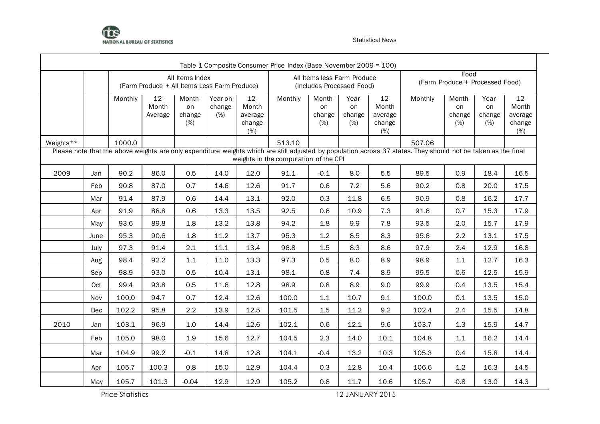

|           |      |         |                                              |                               |                          |                                             | Table 1 Composite Consumer Price Index (Base November 2009 = 100) |                                                          |                              |                                             |                                                                                                                                                                |                                         |                              |                                             |
|-----------|------|---------|----------------------------------------------|-------------------------------|--------------------------|---------------------------------------------|-------------------------------------------------------------------|----------------------------------------------------------|------------------------------|---------------------------------------------|----------------------------------------------------------------------------------------------------------------------------------------------------------------|-----------------------------------------|------------------------------|---------------------------------------------|
|           |      |         | (Farm Produce + All Items Less Farm Produce) | All Items Index               |                          |                                             |                                                                   | All Items less Farm Produce<br>(includes Processed Food) |                              |                                             |                                                                                                                                                                | Food<br>(Farm Produce + Processed Food) |                              |                                             |
|           |      | Monthly | $12 -$<br>Month<br>Average                   | Month-<br>on<br>change<br>(%) | Year-on<br>change<br>(%) | $12 -$<br>Month<br>average<br>change<br>(%) | Monthly                                                           | Month-<br>on<br>change<br>(%)                            | Year-<br>on<br>change<br>(%) | $12 -$<br>Month<br>average<br>change<br>(%) | Monthly                                                                                                                                                        | Month-<br>on<br>change<br>(%)           | Year-<br>on<br>change<br>(%) | $12 -$<br>Month<br>average<br>change<br>(%) |
| Weights** |      | 1000.0  |                                              |                               |                          |                                             | 513.10                                                            |                                                          |                              |                                             | 507.06                                                                                                                                                         |                                         |                              |                                             |
|           |      |         |                                              |                               |                          |                                             | weights in the computation of the CPI                             |                                                          |                              |                                             | Please note that the above weights are only expenditure weights which are still adjusted by population across 37 states. They should not be taken as the final |                                         |                              |                                             |
| 2009      | Jan  | 90.2    | 86.0                                         | 0.5                           | 14.0                     | 12.0                                        | 91.1                                                              | $-0.1$                                                   | 8.0                          | 5.5                                         | 89.5                                                                                                                                                           | 0.9                                     | 18.4                         | 16.5                                        |
|           | Feb  | 90.8    | 87.0                                         | 0.7                           | 14.6                     | 12.6                                        | 91.7                                                              | 0.6                                                      | 7.2                          | 5.6                                         | 90.2                                                                                                                                                           | 0.8                                     | 20.0                         | 17.5                                        |
|           | Mar  | 91.4    | 87.9                                         | 0.6                           | 14.4                     | 13.1                                        | 92.0                                                              | 0.3                                                      | 11.8                         | 6.5                                         | 90.9                                                                                                                                                           | 0.8                                     | 16.2                         | 17.7                                        |
|           | Apr  | 91.9    | 88.8                                         | 0.6                           | 13.3                     | 13.5                                        | 92.5                                                              | 0.6                                                      | 10.9                         | 7.3                                         | 91.6                                                                                                                                                           | 0.7                                     | 15.3                         | 17.9                                        |
|           | May  | 93.6    | 89.8                                         | 1.8                           | 13.2                     | 13.8                                        | 94.2                                                              | 1.8                                                      | 9.9                          | 7.8                                         | 93.5                                                                                                                                                           | 2.0                                     | 15.7                         | 17.9                                        |
|           | June | 95.3    | 90.6                                         | 1.8                           | 11.2                     | 13.7                                        | 95.3                                                              | 1.2                                                      | 8.5                          | 8.3                                         | 95.6                                                                                                                                                           | 2.2                                     | 13.1                         | 17.5                                        |
|           | July | 97.3    | 91.4                                         | 2.1                           | 11.1                     | 13.4                                        | 96.8                                                              | 1.5                                                      | 8.3                          | 8.6                                         | 97.9                                                                                                                                                           | 2.4                                     | 12.9                         | 16.8                                        |
|           | Aug  | 98.4    | 92.2                                         | 1.1                           | 11.0                     | 13.3                                        | 97.3                                                              | 0.5                                                      | 8.0                          | 8.9                                         | 98.9                                                                                                                                                           | 1.1                                     | 12.7                         | 16.3                                        |
|           | Sep  | 98.9    | 93.0                                         | 0.5                           | 10.4                     | 13.1                                        | 98.1                                                              | 0.8                                                      | 7.4                          | 8.9                                         | 99.5                                                                                                                                                           | 0.6                                     | 12.5                         | 15.9                                        |
|           | Oct  | 99.4    | 93.8                                         | 0.5                           | 11.6                     | 12.8                                        | 98.9                                                              | 0.8                                                      | 8.9                          | 9.0                                         | 99.9                                                                                                                                                           | 0.4                                     | 13.5                         | 15.4                                        |
|           | Nov  | 100.0   | 94.7                                         | 0.7                           | 12.4                     | 12.6                                        | 100.0                                                             | 1.1                                                      | 10.7                         | 9.1                                         | 100.0                                                                                                                                                          | 0.1                                     | 13.5                         | 15.0                                        |
|           | Dec  | 102.2   | 95.8                                         | 2.2                           | 13.9                     | 12.5                                        | 101.5                                                             | 1.5                                                      | 11.2                         | 9.2                                         | 102.4                                                                                                                                                          | 2.4                                     | 15.5                         | 14.8                                        |
| 2010      | Jan  | 103.1   | 96.9                                         | 1.0                           | 14.4                     | 12.6                                        | 102.1                                                             | 0.6                                                      | 12.1                         | 9.6                                         | 103.7                                                                                                                                                          | 1.3                                     | 15.9                         | 14.7                                        |
|           | Feb  | 105.0   | 98.0                                         | 1.9                           | 15.6                     | 12.7                                        | 104.5                                                             | 2.3                                                      | 14.0                         | 10.1                                        | 104.8                                                                                                                                                          | 1.1                                     | 16.2                         | 14.4                                        |
|           | Mar  | 104.9   | 99.2                                         | $-0.1$                        | 14.8                     | 12.8                                        | 104.1                                                             | $-0.4$                                                   | 13.2                         | 10.3                                        | 105.3                                                                                                                                                          | 0.4                                     | 15.8                         | 14.4                                        |
|           | Apr  | 105.7   | 100.3                                        | 0.8                           | 15.0                     | 12.9                                        | 104.4                                                             | 0.3                                                      | 12.8                         | 10.4                                        | 106.6                                                                                                                                                          | 1.2                                     | 16.3                         | 14.5                                        |
|           | May  | 105.7   | 101.3                                        | $-0.04$                       | 12.9                     | 12.9                                        | 105.2                                                             | 0.8                                                      | 11.7                         | 10.6                                        | 105.7                                                                                                                                                          | $-0.8$                                  | 13.0                         | 14.3                                        |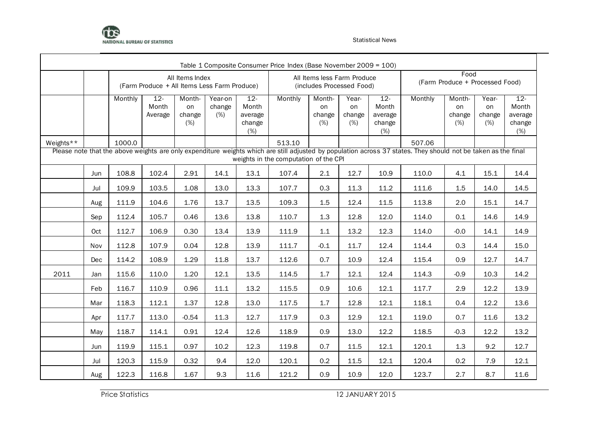

|           |     | Table 1 Composite Consumer Price Index (Base November 2009 = 100)<br>Food<br>All Items Index<br>All Items less Farm Produce<br>(Farm Produce + Processed Food)<br>(Farm Produce + All Items Less Farm Produce)<br>(includes Processed Food)<br>$12 -$<br>$12 -$<br>Month-<br>$12 -$<br>Monthly<br>Month-<br>Monthly<br>Monthly<br>Year-on<br>Year-<br>Month-<br>Year-<br>Month<br>Month<br>Month<br>on<br>change<br>on<br>on<br>on<br>on<br>change<br>(% )<br>change<br>Average<br>average<br>change<br>average<br>change<br>change<br>(%)<br>change<br>(%)<br>(%)<br>change<br>(%)<br>(%)<br>(%)<br>(%)<br>1000.0<br>513.10<br>507.06<br>Please note that the above weights are only expenditure weights which are still adjusted by population across 37 states. They should not be taken as the final<br>weights in the computation of the CPI<br>108.8<br>102.4<br>2.91<br>14.1<br>12.7<br>110.0<br>4.1<br>15.1<br>13.1<br>107.4<br>2.1<br>10.9 |       |         |      |      |       |        |      |      |       |        |      |                                             |  |
|-----------|-----|-----------------------------------------------------------------------------------------------------------------------------------------------------------------------------------------------------------------------------------------------------------------------------------------------------------------------------------------------------------------------------------------------------------------------------------------------------------------------------------------------------------------------------------------------------------------------------------------------------------------------------------------------------------------------------------------------------------------------------------------------------------------------------------------------------------------------------------------------------------------------------------------------------------------------------------------------------|-------|---------|------|------|-------|--------|------|------|-------|--------|------|---------------------------------------------|--|
|           |     |                                                                                                                                                                                                                                                                                                                                                                                                                                                                                                                                                                                                                                                                                                                                                                                                                                                                                                                                                     |       |         |      |      |       |        |      |      |       |        |      |                                             |  |
|           |     |                                                                                                                                                                                                                                                                                                                                                                                                                                                                                                                                                                                                                                                                                                                                                                                                                                                                                                                                                     |       |         |      |      |       |        |      |      |       |        |      | $12 -$<br>Month<br>average<br>change<br>(%) |  |
| Weights** |     |                                                                                                                                                                                                                                                                                                                                                                                                                                                                                                                                                                                                                                                                                                                                                                                                                                                                                                                                                     |       |         |      |      |       |        |      |      |       |        |      |                                             |  |
|           |     |                                                                                                                                                                                                                                                                                                                                                                                                                                                                                                                                                                                                                                                                                                                                                                                                                                                                                                                                                     |       |         |      |      |       |        |      |      |       |        |      |                                             |  |
|           | Jun |                                                                                                                                                                                                                                                                                                                                                                                                                                                                                                                                                                                                                                                                                                                                                                                                                                                                                                                                                     |       |         |      |      |       |        |      |      |       |        |      | 14.4                                        |  |
|           | Jul | 109.9                                                                                                                                                                                                                                                                                                                                                                                                                                                                                                                                                                                                                                                                                                                                                                                                                                                                                                                                               | 103.5 | 1.08    | 13.0 | 13.3 | 107.7 | 0.3    | 11.3 | 11.2 | 111.6 | 1.5    | 14.0 | 14.5                                        |  |
|           | Aug | 111.9                                                                                                                                                                                                                                                                                                                                                                                                                                                                                                                                                                                                                                                                                                                                                                                                                                                                                                                                               | 104.6 | 1.76    | 13.7 | 13.5 | 109.3 | 1.5    | 12.4 | 11.5 | 113.8 | 2.0    | 15.1 | 14.7                                        |  |
|           | Sep | 112.4                                                                                                                                                                                                                                                                                                                                                                                                                                                                                                                                                                                                                                                                                                                                                                                                                                                                                                                                               | 105.7 | 0.46    | 13.6 | 13.8 | 110.7 | 1.3    | 12.8 | 12.0 | 114.0 | 0.1    | 14.6 | 14.9                                        |  |
|           | Oct | 112.7                                                                                                                                                                                                                                                                                                                                                                                                                                                                                                                                                                                                                                                                                                                                                                                                                                                                                                                                               | 106.9 | 0.30    | 13.4 | 13.9 | 111.9 | 1.1    | 13.2 | 12.3 | 114.0 | $-0.0$ | 14.1 | 14.9                                        |  |
|           | Nov | 112.8                                                                                                                                                                                                                                                                                                                                                                                                                                                                                                                                                                                                                                                                                                                                                                                                                                                                                                                                               | 107.9 | 0.04    | 12.8 | 13.9 | 111.7 | $-0.1$ | 11.7 | 12.4 | 114.4 | 0.3    | 14.4 | 15.0                                        |  |
|           | Dec | 114.2                                                                                                                                                                                                                                                                                                                                                                                                                                                                                                                                                                                                                                                                                                                                                                                                                                                                                                                                               | 108.9 | 1.29    | 11.8 | 13.7 | 112.6 | 0.7    | 10.9 | 12.4 | 115.4 | 0.9    | 12.7 | 14.7                                        |  |
| 2011      | Jan | 115.6                                                                                                                                                                                                                                                                                                                                                                                                                                                                                                                                                                                                                                                                                                                                                                                                                                                                                                                                               | 110.0 | 1.20    | 12.1 | 13.5 | 114.5 | 1.7    | 12.1 | 12.4 | 114.3 | $-0.9$ | 10.3 | 14.2                                        |  |
|           | Feb | 116.7                                                                                                                                                                                                                                                                                                                                                                                                                                                                                                                                                                                                                                                                                                                                                                                                                                                                                                                                               | 110.9 | 0.96    | 11.1 | 13.2 | 115.5 | 0.9    | 10.6 | 12.1 | 117.7 | 2.9    | 12.2 | 13.9                                        |  |
|           | Mar | 118.3                                                                                                                                                                                                                                                                                                                                                                                                                                                                                                                                                                                                                                                                                                                                                                                                                                                                                                                                               | 112.1 | 1.37    | 12.8 | 13.0 | 117.5 | 1.7    | 12.8 | 12.1 | 118.1 | 0.4    | 12.2 | 13.6                                        |  |
|           | Apr | 117.7                                                                                                                                                                                                                                                                                                                                                                                                                                                                                                                                                                                                                                                                                                                                                                                                                                                                                                                                               | 113.0 | $-0.54$ | 11.3 | 12.7 | 117.9 | 0.3    | 12.9 | 12.1 | 119.0 | 0.7    | 11.6 | 13.2                                        |  |
|           | May | 118.7                                                                                                                                                                                                                                                                                                                                                                                                                                                                                                                                                                                                                                                                                                                                                                                                                                                                                                                                               | 114.1 | 0.91    | 12.4 | 12.6 | 118.9 | 0.9    | 13.0 | 12.2 | 118.5 | $-0.3$ | 12.2 | 13.2                                        |  |
|           | Jun | 119.9                                                                                                                                                                                                                                                                                                                                                                                                                                                                                                                                                                                                                                                                                                                                                                                                                                                                                                                                               | 115.1 | 0.97    | 10.2 | 12.3 | 119.8 | 0.7    | 11.5 | 12.1 | 120.1 | 1.3    | 9.2  | 12.7                                        |  |
|           | Jul | 120.3                                                                                                                                                                                                                                                                                                                                                                                                                                                                                                                                                                                                                                                                                                                                                                                                                                                                                                                                               | 115.9 | 0.32    | 9.4  | 12.0 | 120.1 | 0.2    | 11.5 | 12.1 | 120.4 | 0.2    | 7.9  | 12.1                                        |  |
|           | Aug | 122.3                                                                                                                                                                                                                                                                                                                                                                                                                                                                                                                                                                                                                                                                                                                                                                                                                                                                                                                                               | 116.8 | 1.67    | 9.3  | 11.6 | 121.2 | 0.9    | 10.9 | 12.0 | 123.7 | 2.7    | 8.7  | 11.6                                        |  |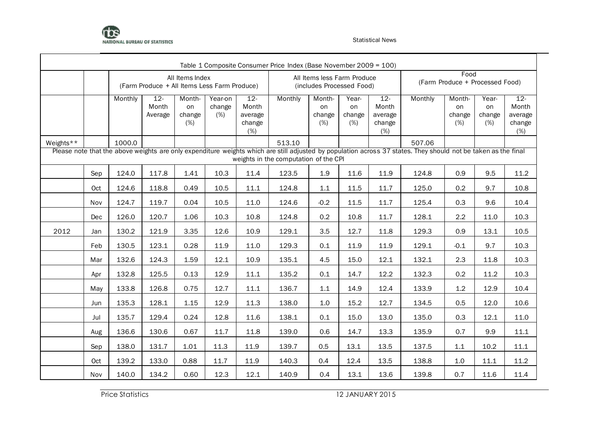

|           |     |         |                                                                                                                                                                                                                                                                                                                                                                                                                                                                                    |                               |                          |                                             | Table 1 Composite Consumer Price Index (Base November 2009 = 100) |                                                          |                              |                                             |         |                                         |                              |                                             |  |  |
|-----------|-----|---------|------------------------------------------------------------------------------------------------------------------------------------------------------------------------------------------------------------------------------------------------------------------------------------------------------------------------------------------------------------------------------------------------------------------------------------------------------------------------------------|-------------------------------|--------------------------|---------------------------------------------|-------------------------------------------------------------------|----------------------------------------------------------|------------------------------|---------------------------------------------|---------|-----------------------------------------|------------------------------|---------------------------------------------|--|--|
|           |     |         | (Farm Produce + All Items Less Farm Produce)                                                                                                                                                                                                                                                                                                                                                                                                                                       | All Items Index               |                          |                                             |                                                                   | All Items less Farm Produce<br>(includes Processed Food) |                              |                                             |         | Food<br>(Farm Produce + Processed Food) |                              |                                             |  |  |
|           |     | Monthly | $12 -$<br>Month<br>Average                                                                                                                                                                                                                                                                                                                                                                                                                                                         | Month-<br>on<br>change<br>(%) | Year-on<br>change<br>(%) | $12 -$<br>Month<br>average<br>change<br>(%) | Monthly                                                           | Month-<br>on<br>change<br>(%)                            | Year-<br>on<br>change<br>(%) | $12 -$<br>Month<br>average<br>change<br>(%) | Monthly | Month-<br>on<br>change<br>(%)           | Year-<br>on<br>change<br>(%) | $12 -$<br>Month<br>average<br>change<br>(%) |  |  |
| Weights** |     | 1000.0  |                                                                                                                                                                                                                                                                                                                                                                                                                                                                                    |                               |                          |                                             | 513.10                                                            |                                                          |                              |                                             | 507.06  |                                         |                              |                                             |  |  |
|           |     |         | Please note that the above weights are only expenditure weights which are still adjusted by population across 37 states. They should not be taken as the final<br>weights in the computation of the CPI<br>117.8<br>1.9<br>11.9<br>0.9<br>9.5<br>1.41<br>10.3<br>11.4<br>123.5<br>11.6<br>124.8<br>118.8<br>0.49<br>10.5<br>11.1<br>124.8<br>1.1<br>11.5<br>11.7<br>125.0<br>0.2<br>9.7<br>11.7<br>119.7<br>0.04<br>10.5<br>11.0<br>124.6<br>$-0.2$<br>11.5<br>125.4<br>0.3<br>9.6 |                               |                          |                                             |                                                                   |                                                          |                              |                                             |         |                                         |                              |                                             |  |  |
|           | Sep | 124.0   |                                                                                                                                                                                                                                                                                                                                                                                                                                                                                    |                               |                          |                                             |                                                                   |                                                          |                              |                                             |         |                                         |                              | 11.2                                        |  |  |
|           | Oct | 124.6   |                                                                                                                                                                                                                                                                                                                                                                                                                                                                                    |                               |                          |                                             |                                                                   |                                                          |                              |                                             |         |                                         |                              | 10.8                                        |  |  |
|           | Nov | 124.7   |                                                                                                                                                                                                                                                                                                                                                                                                                                                                                    |                               |                          |                                             |                                                                   |                                                          |                              |                                             |         |                                         |                              | 10.4                                        |  |  |
|           | Dec | 126.0   | 120.7                                                                                                                                                                                                                                                                                                                                                                                                                                                                              | 1.06                          | 10.3                     | 10.8                                        | 124.8                                                             | 0.2                                                      | 10.8                         | 11.7                                        | 128.1   | 2.2                                     | 11.0                         | 10.3                                        |  |  |
| 2012      | Jan | 130.2   | 121.9                                                                                                                                                                                                                                                                                                                                                                                                                                                                              | 3.35                          | 12.6                     | 10.9                                        | 129.1                                                             | 3.5                                                      | 12.7                         | 11.8                                        | 129.3   | 0.9                                     | 13.1                         | 10.5                                        |  |  |
|           | Feb | 130.5   | 123.1                                                                                                                                                                                                                                                                                                                                                                                                                                                                              | 0.28                          | 11.9                     | 11.0                                        | 129.3                                                             | 0.1                                                      | 11.9                         | 11.9                                        | 129.1   | $-0.1$                                  | 9.7                          | 10.3                                        |  |  |
|           | Mar | 132.6   | 124.3                                                                                                                                                                                                                                                                                                                                                                                                                                                                              | 1.59                          | 12.1                     | 10.9                                        | 135.1                                                             | 4.5                                                      | 15.0                         | 12.1                                        | 132.1   | 2.3                                     | 11.8                         | 10.3                                        |  |  |
|           | Apr | 132.8   | 125.5                                                                                                                                                                                                                                                                                                                                                                                                                                                                              | 0.13                          | 12.9                     | 11.1                                        | 135.2                                                             | 0.1                                                      | 14.7                         | 12.2                                        | 132.3   | 0.2                                     | 11.2                         | 10.3                                        |  |  |
|           | May | 133.8   | 126.8                                                                                                                                                                                                                                                                                                                                                                                                                                                                              | 0.75                          | 12.7                     | 11.1                                        | 136.7                                                             | $1.1\,$                                                  | 14.9                         | 12.4                                        | 133.9   | 1.2                                     | 12.9                         | 10.4                                        |  |  |
|           | Jun | 135.3   | 128.1                                                                                                                                                                                                                                                                                                                                                                                                                                                                              | 1.15                          | 12.9                     | 11.3                                        | 138.0                                                             | 1.0                                                      | 15.2                         | 12.7                                        | 134.5   | 0.5                                     | 12.0                         | 10.6                                        |  |  |
|           | Jul | 135.7   | 129.4                                                                                                                                                                                                                                                                                                                                                                                                                                                                              | 0.24                          | 12.8                     | 11.6                                        | 138.1                                                             | 0.1                                                      | 15.0                         | 13.0                                        | 135.0   | 0.3                                     | 12.1                         | 11.0                                        |  |  |
|           | Aug | 136.6   | 130.6                                                                                                                                                                                                                                                                                                                                                                                                                                                                              | 0.67                          | 11.7                     | 11.8                                        | 139.0                                                             | 0.6                                                      | 14.7                         | 13.3                                        | 135.9   | 0.7                                     | 9.9                          | 11.1                                        |  |  |
|           | Sep | 138.0   | 131.7                                                                                                                                                                                                                                                                                                                                                                                                                                                                              | 1.01                          | 11.3                     | 11.9                                        | 139.7                                                             | 0.5                                                      | 13.1                         | 13.5                                        | 137.5   | 1.1                                     | 10.2                         | 11.1                                        |  |  |
|           | Oct | 139.2   | 133.0                                                                                                                                                                                                                                                                                                                                                                                                                                                                              | 0.88                          | 11.7                     | 11.9                                        | 140.3                                                             | 0.4                                                      | 12.4                         | 13.5                                        | 138.8   | 1.0                                     | 11.1                         | 11.2                                        |  |  |
|           | Nov | 140.0   | 134.2                                                                                                                                                                                                                                                                                                                                                                                                                                                                              | 0.60                          | 12.3                     | 12.1                                        | 140.9                                                             | 0.4                                                      | 13.1                         | 13.6                                        | 139.8   | 0.7                                     | 11.6                         | 11.4                                        |  |  |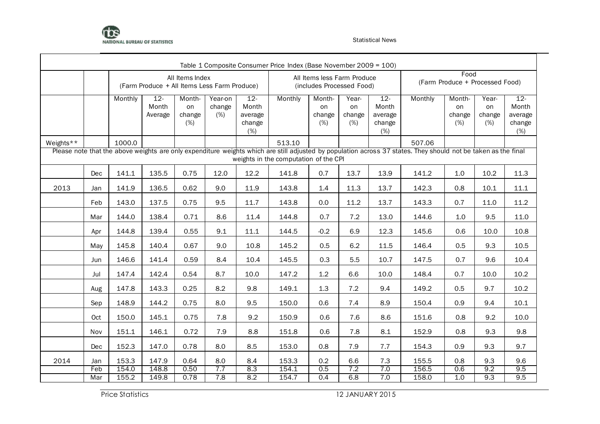

|     | Monthly    | $12 -$<br>Month<br>Average                                                                                                                                                                                             | Month-<br>on<br>change<br>(%) | Year-on<br>change<br>(%) | $12 -$<br>Month<br>average<br>change<br>(%) | Monthly                                                    | Month-<br>on<br>change<br>(%) | Year-<br>on<br>change<br>(%) | $12 -$<br>Month<br>average<br>change<br>(%) | Monthly                                                                                                                                     | Month-<br>on<br>change<br>(%) | Year-<br>on<br>change<br>(%) | $12 -$<br>Month<br>average<br>change<br>(%)                                                                                                                                                                             |  |  |  |
|-----|------------|------------------------------------------------------------------------------------------------------------------------------------------------------------------------------------------------------------------------|-------------------------------|--------------------------|---------------------------------------------|------------------------------------------------------------|-------------------------------|------------------------------|---------------------------------------------|---------------------------------------------------------------------------------------------------------------------------------------------|-------------------------------|------------------------------|-------------------------------------------------------------------------------------------------------------------------------------------------------------------------------------------------------------------------|--|--|--|
|     | 1000.0     |                                                                                                                                                                                                                        |                               |                          |                                             | 513.10                                                     |                               |                              |                                             | 507.06                                                                                                                                      |                               |                              |                                                                                                                                                                                                                         |  |  |  |
|     |            | weights in the computation of the CPI<br>135.5<br>12.2<br>0.7<br>13.9<br>1.0<br>0.75<br>12.0<br>141.8<br>13.7<br>141.2<br>10.2<br>9.0<br>11.9<br>1.4<br>11.3<br>136.5<br>0.62<br>143.8<br>13.7<br>142.3<br>0.8<br>10.1 |                               |                          |                                             |                                                            |                               |                              |                                             |                                                                                                                                             |                               |                              |                                                                                                                                                                                                                         |  |  |  |
| Dec | 141.1      |                                                                                                                                                                                                                        |                               |                          |                                             |                                                            |                               |                              |                                             |                                                                                                                                             |                               |                              | 11.3                                                                                                                                                                                                                    |  |  |  |
| Jan | 141.9      |                                                                                                                                                                                                                        |                               |                          |                                             |                                                            |                               |                              |                                             |                                                                                                                                             |                               |                              | 11.1                                                                                                                                                                                                                    |  |  |  |
| Feb | 143.0      | 137.5                                                                                                                                                                                                                  | 0.75                          | 9.5                      | 11.7                                        | 143.8                                                      | 0.0                           | 11.2                         | 13.7                                        | 143.3                                                                                                                                       | 0.7                           | 11.0                         | 11.2                                                                                                                                                                                                                    |  |  |  |
| Mar | 144.0      | 138.4                                                                                                                                                                                                                  | 0.71                          | 8.6                      | 11.4                                        | 144.8                                                      | 0.7                           | 7.2                          | 13.0                                        | 144.6                                                                                                                                       | 1.0                           | 9.5                          | 11.0                                                                                                                                                                                                                    |  |  |  |
| Apr | 144.8      | 139.4                                                                                                                                                                                                                  | 0.55                          | 9.1                      | 11.1                                        | 144.5                                                      | $-0.2$                        | 6.9                          | 12.3                                        | 145.6                                                                                                                                       | 0.6                           | 10.0                         | 10.8                                                                                                                                                                                                                    |  |  |  |
| May | 145.8      | 140.4                                                                                                                                                                                                                  | 0.67                          | 9.0                      | 10.8                                        | 145.2                                                      | 0.5                           | 6.2                          | 11.5                                        | 146.4                                                                                                                                       | 0.5                           | 9.3                          | 10.5                                                                                                                                                                                                                    |  |  |  |
| Jun | 146.6      | 141.4                                                                                                                                                                                                                  | 0.59                          | 8.4                      | 10.4                                        | 145.5                                                      | 0.3                           | 5.5                          | 10.7                                        | 147.5                                                                                                                                       | 0.7                           | 9.6                          | 10.4                                                                                                                                                                                                                    |  |  |  |
| Jul | 147.4      | 142.4                                                                                                                                                                                                                  | 0.54                          | 8.7                      | 10.0                                        | 147.2                                                      | 1.2                           | 6.6                          | 10.0                                        | 148.4                                                                                                                                       | 0.7                           | 10.0                         | 10.2                                                                                                                                                                                                                    |  |  |  |
| Aug | 147.8      | 143.3                                                                                                                                                                                                                  | 0.25                          | 8.2                      | 9.8                                         | 149.1                                                      | 1.3                           | 7.2                          | 9.4                                         | 149.2                                                                                                                                       | 0.5                           | 9.7                          | 10.2                                                                                                                                                                                                                    |  |  |  |
| Sep | 148.9      | 144.2                                                                                                                                                                                                                  | 0.75                          | 8.0                      | 9.5                                         | 150.0                                                      | 0.6                           | 7.4                          | 8.9                                         | 150.4                                                                                                                                       | 0.9                           | 9.4                          | 10.1                                                                                                                                                                                                                    |  |  |  |
| Oct | 150.0      | 145.1                                                                                                                                                                                                                  | 0.75                          | 7.8                      | 9.2                                         | 150.9                                                      | 0.6                           | 7.6                          | 8.6                                         | 151.6                                                                                                                                       | 0.8                           | 9.2                          | 10.0                                                                                                                                                                                                                    |  |  |  |
| Nov | 151.1      | 146.1                                                                                                                                                                                                                  | 0.72                          | 7.9                      | 8.8                                         | 151.8                                                      | 0.6                           | 7.8                          | 8.1                                         | 152.9                                                                                                                                       | 0.8                           | 9.3                          | 9.8                                                                                                                                                                                                                     |  |  |  |
| Dec | 152.3      | 147.0                                                                                                                                                                                                                  | 0.78                          | 8.0                      | 8.5                                         | 153.0                                                      | 0.8                           | 7.9                          | 7.7                                         | 154.3                                                                                                                                       | 0.9                           | 9.3                          | 9.7                                                                                                                                                                                                                     |  |  |  |
| Jan | 153.3      | 147.9                                                                                                                                                                                                                  | 0.64                          | 8.0                      | 8.4                                         | 153.3                                                      | 0.2                           | 6.6                          | 7.3                                         | 155.5                                                                                                                                       | 0.8                           | 9.3                          | 9.6                                                                                                                                                                                                                     |  |  |  |
|     |            |                                                                                                                                                                                                                        |                               |                          |                                             |                                                            |                               |                              |                                             |                                                                                                                                             |                               |                              | 9.5<br>9.5                                                                                                                                                                                                              |  |  |  |
|     | Feb<br>Mar | 154.0<br>155.2                                                                                                                                                                                                         | 148.8<br>149.8                | 0.50<br>0.78             | All Items Index<br>7.7<br>7.8               | (Farm Produce + All Items Less Farm Produce)<br>8.3<br>8.2 | 154.1<br>154.7                | 0.5<br>0.4                   | 7.2<br>6.8                                  | Table 1 Composite Consumer Price Index (Base November 2009 = 100)<br>All Items less Farm Produce<br>(includes Processed Food)<br>7.0<br>7.0 | 156.5<br>158.0                | 0.6<br>1.0                   | Food<br>(Farm Produce + Processed Food)<br>Please note that the above weights are only expenditure weights which are still adjusted by population across 37 states. They should not be taken as the final<br>9.2<br>9.3 |  |  |  |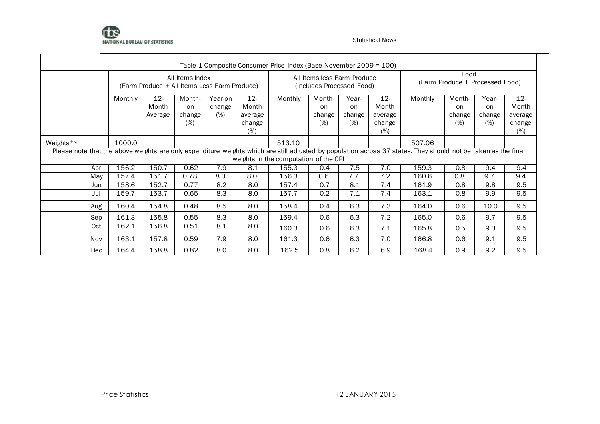

|           |                                                                                                                                                                                                                                       |         |                                              |                               |                          |                                                | Table 1 Composite Consumer Price Index (Base November 2009 = 100) |                                                          |                              |                                             |         |                                         |                                         |                                             |  |
|-----------|---------------------------------------------------------------------------------------------------------------------------------------------------------------------------------------------------------------------------------------|---------|----------------------------------------------|-------------------------------|--------------------------|------------------------------------------------|-------------------------------------------------------------------|----------------------------------------------------------|------------------------------|---------------------------------------------|---------|-----------------------------------------|-----------------------------------------|---------------------------------------------|--|
|           |                                                                                                                                                                                                                                       |         | (Farm Produce + All Items Less Farm Produce) | All Items Index               |                          |                                                |                                                                   | All Items less Farm Produce<br>(includes Processed Food) |                              |                                             |         | Food<br>(Farm Produce + Processed Food) |                                         |                                             |  |
|           |                                                                                                                                                                                                                                       | Monthly | $12 -$<br>Month<br>Average                   | Month-<br>on<br>change<br>(%) | Year-on<br>change<br>(%) | $12 -$<br>Month<br>average<br>change<br>$(\%)$ | Monthly                                                           | Month-<br>on<br>change<br>(%)                            | Year-<br>on<br>change<br>(%) | $12 -$<br>Month<br>average<br>change<br>(%) | Monthly | Month-<br>on<br>change<br>(%)           | Year-<br><sub>on</sub><br>change<br>(%) | $12 -$<br>Month<br>average<br>change<br>(%) |  |
| Weights** | 1000.0<br>513.10<br>507.06<br>Please note that the above weights are only expenditure weights which are still adjusted by population across 37 states. They should not be taken as the final<br>weights in the computation of the CPI |         |                                              |                               |                          |                                                |                                                                   |                                                          |                              |                                             |         |                                         |                                         |                                             |  |
|           | Apr                                                                                                                                                                                                                                   | 156.2   | 150.7                                        | 0.62                          | 7.9                      | 8.1                                            | 155.3                                                             | 0.4                                                      | 7.5                          | 7.0                                         | 159.3   | $\overline{0.8}$                        | 9.4                                     | 9.4                                         |  |
|           | May                                                                                                                                                                                                                                   | 157.4   | 151.7                                        | 0.78                          | 8.0                      | 8.0                                            | 156.3                                                             | 0.6                                                      | 7.7                          | 7.2                                         | 160.6   | 0.8                                     | 9.7                                     | 9.4                                         |  |
|           | Jun                                                                                                                                                                                                                                   | 158.6   | 152.7                                        | 0.77                          | 8.2                      | 8.0                                            | 157.4                                                             | 0.7                                                      | 8.1                          | 7.4                                         | 161.9   | 0.8                                     | 9.8                                     | 9.5                                         |  |
|           | Jul                                                                                                                                                                                                                                   | 159.7   | 153.7                                        | 0.65                          | 8.3                      | 8.0                                            | 157.7                                                             | 0.2 <sub>0</sub>                                         | 7.1                          | 7.4                                         | 163.1   | 0.8                                     | 9.9                                     | 9.5                                         |  |
|           | Aug                                                                                                                                                                                                                                   | 160.4   | 154.8                                        | 0.48                          | 8.5                      | 8.0                                            | 158.4                                                             | 0.4                                                      | 6.3                          | 7.3                                         | 164.0   | 0.6                                     | 10.0                                    | 9.5                                         |  |
|           | Sep                                                                                                                                                                                                                                   | 161.3   | 155.8                                        | 0.55                          | 8.3                      | 8.0                                            | 159.4                                                             | 0.6                                                      | 6.3                          | 7.2                                         | 165.0   | 0.6                                     | 9.7                                     | 9.5                                         |  |
|           | Oct                                                                                                                                                                                                                                   | 162.1   | 156.8                                        | 0.51                          | 8.1                      | 8.0                                            | 160.3                                                             | 0.6                                                      | 6.3                          | 7.1                                         | 165.8   | 0.5                                     | 9.3                                     | 9.5                                         |  |
|           | Nov                                                                                                                                                                                                                                   | 163.1   | 157.8                                        | 0.59                          | 7.9                      | 8.0                                            | 161.3                                                             | 0.6                                                      | 6.3                          | 7.0                                         | 166.8   | 0.6                                     | 9.1                                     | 9.5                                         |  |
|           | <b>Dec</b>                                                                                                                                                                                                                            | 164.4   | 158.8                                        | 0.82                          | 8.0                      | 8.0                                            | 162.5                                                             | 0.8                                                      | 6.2                          | 6.9                                         | 168.4   | 0.9                                     | 9.2                                     | 9.5                                         |  |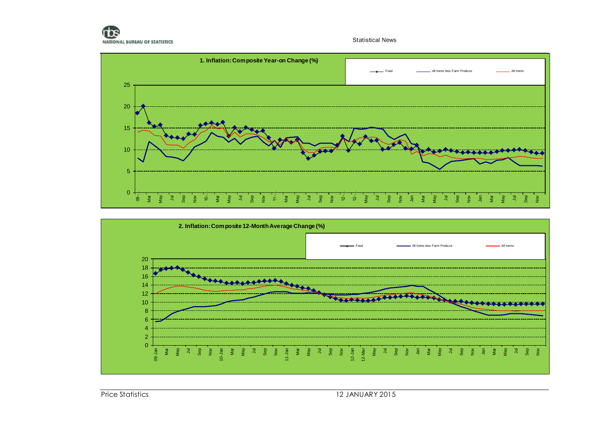



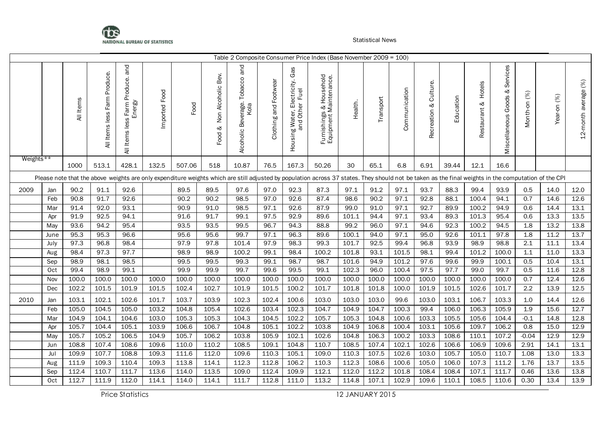

|           |            |              |                                     |                                                  |               |        |                                 |                                            |                       |                                                                  | Table 2 Composite Consumer Price Index (Base November 2009 = 100)                                                                                                                                    |              |           |               |                          |                    |                           |                                         |              |              |                      |
|-----------|------------|--------------|-------------------------------------|--------------------------------------------------|---------------|--------|---------------------------------|--------------------------------------------|-----------------------|------------------------------------------------------------------|------------------------------------------------------------------------------------------------------------------------------------------------------------------------------------------------------|--------------|-----------|---------------|--------------------------|--------------------|---------------------------|-----------------------------------------|--------------|--------------|----------------------|
|           |            | All Items    | Produce.<br>Farm<br>Items less<br>₹ | Produce. and<br>Energy<br>Farm<br>All Items less | Imported Food | Food   | Non Alcoholic Bev.<br>⊗<br>Food | Beverage. Tobacco and<br>Kola<br>Alcoholic | Clothing and Footwear | Gas<br>g Water, Electricity.<br>and Other Fuel<br>Housing Water, | Furnishings & Household<br>Equipment Maintenance.                                                                                                                                                    | Health.      | Transport | Communication | Culture.<br>Recreation & | Education          | Hotels<br>⊗<br>Restaurant | Services<br>ళ<br>Goods<br>Miscellaneous | Month-on (%) | Year-on (%)  | 12-month average (%) |
| Weights** |            | 1000         | 513.1                               | 428.1                                            | 132.5         | 507.06 | 518                             | 10.87                                      | 76.5                  | 167.3                                                            | 50.26                                                                                                                                                                                                | 30           | 65.1      | 6.8           | 6.91                     | 39.44              | 12.1                      | 16.6                                    |              |              |                      |
|           |            |              |                                     |                                                  |               |        |                                 |                                            |                       |                                                                  | Please note that the above weights are only expenditure weights which are still adjusted by population across 37 states. They should not be taken as the final weights in the computation of the CPI |              |           |               |                          |                    |                           |                                         |              |              |                      |
|           |            |              |                                     |                                                  |               | 89.5   | 89.5                            |                                            |                       |                                                                  | 87.3                                                                                                                                                                                                 |              | 91.2      | 97.1          | 93.7                     | 88.3               | 99.4                      | 93.9                                    |              |              |                      |
| 2009      | Jan<br>Feb | 90.2<br>90.8 | 91.1<br>91.7                        | 92.6<br>92.6                                     |               | 90.2   | 90.2                            | 97.6<br>98.5                               | 97.0<br>97.0          | 92.3<br>92.6                                                     | 87.4                                                                                                                                                                                                 | 97.1<br>98.6 | 90.2      | 97.1          | 92.8                     | 88.1               | 100.4                     | 94.1                                    | 0.5<br>0.7   | 14.0<br>14.6 | 12.0<br>12.6         |
|           | Mar        | 91.4         | 92.0                                | 93.1                                             |               | 90.9   | 91.0                            | 98.5                                       | 97.1                  | 92.6                                                             | 87.9                                                                                                                                                                                                 | 99.0         | 91.0      | 97.1          | 92.7                     | 89.9               | 100.2                     | 94.9                                    | 0.6          | 14.4         | 13.1                 |
|           | Apr        | 91.9         | 92.5                                | 94.1                                             |               | 91.6   | 91.7                            | 99.1                                       | 97.5                  | 92.9                                                             | 89.6                                                                                                                                                                                                 | 101.1        | 94.4      | 97.1          | 93.4                     | 89.3               | 101.3                     | 95.4                                    | 0.6          | 13.3         | 13.5                 |
|           | May        | 93.6         | 94.2                                | 95.4                                             |               | 93.5   | 93.5                            | 99.5                                       | 96.7                  | 94.3                                                             | 88.8                                                                                                                                                                                                 | 99.2         | 96.0      | 97.1          | 94.6                     | 92.3               | 100.2                     | 94.5                                    | 1.8          | 13.2         | 13.8                 |
|           | June       | 95.3         | 95.3                                | 96.6                                             |               | 95.6   | 95.6                            | 99.7                                       | 97.1                  | 96.3                                                             | 89.6                                                                                                                                                                                                 | 100.1        | 94.0      | 97.1          | 95.0                     | 92.6               | 101.1                     | 97.8                                    | 1.8          | 11.2         | 13.7                 |
|           | July       | 97.3         | 96.8                                | 98.4                                             |               | 97.9   | 97.8                            | 101.4                                      | 97.9                  | 98.3                                                             | 99.3                                                                                                                                                                                                 | 101.7        | 92.5      | 99.4          | 96.8                     | 93.9               | 98.9                      | 98.8                                    | 2.1          | 11.1         | 13.4                 |
|           | Aug        | 98.4         | 97.3                                | 97.7                                             |               | 98.9   | 98.9                            | 100.2                                      | 99.1                  | 98.4                                                             | 100.2                                                                                                                                                                                                | 101.8        | 93.1      | 101.5         | 98.1                     | 99.4               | 101.2                     | 100.0                                   | 1.1          | 11.0         | 13.3                 |
|           | Sep        | 98.9         | 98.1                                | 98.5                                             |               | 99.5   | 99.5                            | 99.3                                       | 99.1                  | 98.7                                                             | 98.7                                                                                                                                                                                                 | 101.6        | 94.9      | 101.2         | 97.6                     | 99.6               | 99.9                      | 100.1                                   | 0.5          | 10.4         | 13.1                 |
|           | Oct        | 99.4         | 98.9                                | 99.1                                             |               | 99.9   | 99.9                            | 99.7                                       | 99.6                  | 99.5                                                             | 99.1                                                                                                                                                                                                 | 102.3        | 96.0      | 100.4         | 97.5                     | 97.7               | 99.0                      | 99.7                                    | 0.5          | 11.6         | 12.8                 |
|           | Nov        | 100.0        | 100.0                               | 100.0                                            | 100.0         | 100.0  | 100.0                           | 100.0                                      | 100.0                 | 100.0                                                            | 100.0                                                                                                                                                                                                | 100.0        | 100.0     | 100.0         | 100.0                    | 100.0              | 100.0                     | 100.0                                   | 0.7          | 12.4         | 12.6                 |
|           | Dec        | 102.2        | 101.5                               | 101.9                                            | 101.5         | 102.4  | 102.7                           | 101.9                                      | 101.5                 | 100.2                                                            | 101.7                                                                                                                                                                                                | 101.8        | 101.8     | 100.0         | 101.9                    | 101.5              | 102.6                     | 101.7                                   | 2.2          | 13.9         | 12.5                 |
| 2010      | Jan        | 103.1        | 102.1                               | 102.6                                            | 101.7         | 103.7  | 103.9                           | 102.3                                      | 102.4                 | 100.6                                                            | 103.0                                                                                                                                                                                                | 103.0        | 103.0     | 99.6          | 103.0                    | 103.1              | 106.7                     | 103.3                                   | 1.0          | 14.4         | 12.6                 |
|           | Feb        | 105.0        | 104.5                               | 105.0                                            | 103.2         | 104.8  | 105.4                           | 102.6                                      | 103.4                 | 102.3                                                            | 104.7                                                                                                                                                                                                | 104.9        | 104.7     | 100.3         | 99.4                     | 106.0              | 106.3                     | 105.9                                   | 1.9          | 15.6         | 12.7                 |
|           | Mar        | 104.9        | 104.1                               | 104.6                                            | 103.0         | 105.3  | 105.3                           | 104.3                                      | 104.5                 | 102.2                                                            | 105.7                                                                                                                                                                                                | 105.3        | 104.8     | 100.6         | 103.3                    | 105.5              | 105.6                     | 104.4                                   | $-0.1$       | 14.8         | 12.8                 |
|           | Apr        | 105.7        | 104.4                               | 105.1                                            | 103.9         | 106.6  | 106.7                           | 104.8                                      | 105.1                 | 102.2                                                            | 103.8                                                                                                                                                                                                | 104.9        | 106.8     | 100.4         | 103.1                    | 105.6              | 109.7                     | 106.2                                   | 0.8          | 15.0         | 12.9                 |
|           | May        | 105.7        | 105.2                               | 106.5                                            | 104.9         | 105.7  | 106.2                           | 103.8                                      | 105.9                 | 102.1                                                            | 102.6                                                                                                                                                                                                | 104.8        | 106.3     | 100.2         | 103.3                    | 108.6              | 110.1                     | 107.2                                   | $-0.04$      | 12.9         | 12.9                 |
|           | Jun        | 108.8        | 107.4                               | $108.\overline{6}$                               | 109.6         | 110.0  | 110.2                           | 108.5                                      | 109.1                 | 104.8                                                            | 110.7                                                                                                                                                                                                | 108.5        | 107.4     | 102.1         | 102.6                    | $106.\overline{6}$ | 106.9                     | 109.6                                   | 2.91         | 14.1         | 13.1                 |
|           | Jul        | 109.9        | 107.7                               | 108.8                                            | 109.3         | 111.6  | 112.0                           | 109.6                                      | 110.3                 | 105.1                                                            | 109.0                                                                                                                                                                                                | 110.3        | 107.5     | 102.6         | 103.0                    | 105.7              | 105.0                     | 110.7                                   | 1.08         | 13.0         | 13.3                 |
|           | Aug        | 111.9        | 109.3                               | 110.4                                            | 109.3         | 113.8  | 114.1                           | 112.3                                      | 112.8                 | 106.2                                                            | 110.3                                                                                                                                                                                                | 112.3        | 108.6     | 100.6         | 105.0                    | 106.0              | 107.3                     | 111.2                                   | 1.76         | 13.7         | 13.5                 |
|           | Sep        | 112.4        | 110.7                               | 111.7                                            | 113.6         | 114.0  | 113.5                           | 109.0                                      | 112.4                 | 109.9                                                            | 112.1                                                                                                                                                                                                | 112.0        | 112.2     | 101.8         | 108.4                    | 108.4              | 107.1                     | 111.7                                   | 0.46         | 13.6         | 13.8                 |
|           | Oct        | 112.7        | 111.9                               | 112.0                                            | 114.1         | 114.0  | 114.1                           | 111.7                                      | 112.8                 | 111.0                                                            | 113.2                                                                                                                                                                                                | 114.8        | 107.1     | 102.9         | 109.6                    | 110.1              | 108.5                     | 110.6                                   | 0.30         | 13.4         | 13.9                 |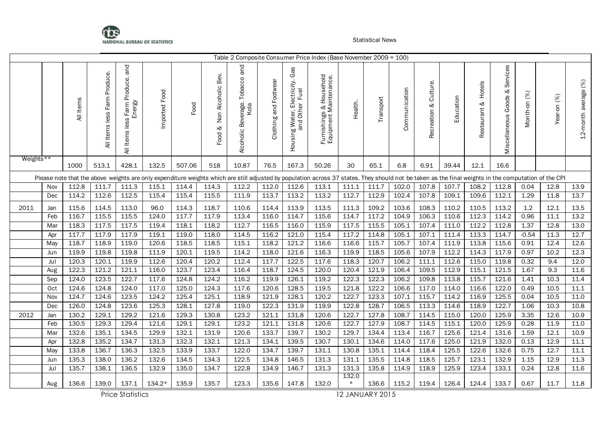

|           |     |           |                                 |                                                |               |        |                                 | Table 2 Composite Consumer Price Index (Base November 2009 = 100)                                                                                                                                    |                       |                                                                           |                                                   |                  |           |               |                             |           |                           |                                         |              |             |                      |
|-----------|-----|-----------|---------------------------------|------------------------------------------------|---------------|--------|---------------------------------|------------------------------------------------------------------------------------------------------------------------------------------------------------------------------------------------------|-----------------------|---------------------------------------------------------------------------|---------------------------------------------------|------------------|-----------|---------------|-----------------------------|-----------|---------------------------|-----------------------------------------|--------------|-------------|----------------------|
|           |     | All Items | Farm Produce.<br>All Items less | and<br>Items less Farm Produce.<br>Energy<br>₹ | Imported Food | Food   | Non Alcoholic Bev.<br>ಳ<br>Food | Tobacco and<br>Alcoholic Beverage.<br>Kola                                                                                                                                                           | Clothing and Footwear | Gas<br>lectricity.<br>Fuel<br>g Water, Ele<br>and Other<br>Housing Water, | Furnishings & Household<br>Equipment Maintenance. | Health.          | Transport | Communication | Culture.<br>ళ<br>Recreation | Education | Hotels<br>ళ<br>Restaurant | Services<br>ళ<br>Goods<br>Miscellaneous | Month-on (%) | Year-on (%) | 12-month average (%) |
| Weights** |     | 1000      | 513.1                           | 428.1                                          | 132.5         | 507.06 | 518                             | 10.87                                                                                                                                                                                                | 76.5                  | 167.3                                                                     | 50.26                                             | 30               | 65.1      | 6.8           | 6.91                        | 39.44     | 12.1                      | 16.6                                    |              |             |                      |
|           |     |           |                                 |                                                |               |        |                                 | Please note that the above weights are only expenditure weights which are still adjusted by population across 37 states. They should not be taken as the final weights in the computation of the CPI |                       |                                                                           |                                                   |                  |           |               |                             |           |                           |                                         |              |             |                      |
|           | Nov | 112.8     | 111.7                           | 111.3                                          | 115.1         | 114.4  | 114.3                           | 112.2                                                                                                                                                                                                | 112.0                 | 112.6                                                                     | 113.1                                             | 111.1            | 111.7     | 102.0         | 107.8                       | 107.7     | 108.2                     | 112.8                                   | 0.04         | 12.8        | 13.9                 |
|           | Dec | 114.2     | 112.6                           | 112.5                                          | 115.4         | 115.4  | 115.5                           | 111.9                                                                                                                                                                                                | 113.7                 | 113.2                                                                     | 113.2                                             | 112.7            | 112.9     | 102.4         | 107.8                       | 109.1     | 109.6                     | 112.1                                   | 1.29         | 11.8        | 13.7                 |
| 2011      | Jan | 115.6     | 114.5                           | 113.0                                          | 96.0          | 114.3  | 118.7                           | 110.6                                                                                                                                                                                                | 114.4                 | 113.9                                                                     | 113.5                                             | 111.3            | 109.2     | 103.6         | 108.3                       | 110.2     | 110.5                     | 113.2                                   | 1.2          | 12.1        | 13.5                 |
|           | Feb | 116.7     | 115.5                           | 115.5                                          | 124.0         | 117.7  | 117.9                           | 113.4                                                                                                                                                                                                | 116.0                 | 114.7                                                                     | 115.6                                             | 114.7            | 117.2     | 104.9         | 106.3                       | 110.6     | 112.3                     | 114.2                                   | 0.96         | 11.1        | 13.2                 |
|           | Mar | 118.3     | 117.5                           | 117.5                                          | 119.4         | 118.1  | 118.2                           | 112.7                                                                                                                                                                                                | 116.5                 | 116.0                                                                     | 115.9                                             | 117.5            | 115.5     | 105.1         | 107.4                       | 111.0     | 112.2                     | 112.8                                   | 1.37         | 12.8        | 13.0                 |
|           | Apr | 117.7     | 117.9                           | 117.9                                          | 119.1         | 119.0  | 118.0                           | 114.5                                                                                                                                                                                                | 116.2                 | 121.0                                                                     | 115.4                                             | 117.2            | 114.8     | 105.1         | 107.1                       | 111.4     | 113.3                     | 114.7                                   | $-0.54$      | 11.3        | 12.7                 |
|           | May | 118.7     | 118.9                           | 119.0                                          | 120.6         | 118.5  | 118.5                           | 115.1                                                                                                                                                                                                | 118.2                 | 121.2                                                                     | 116.6                                             | 116.6            | 115.7     | 105.7         | 107.4                       | 111.9     | 113.8                     | 115.6                                   | 0.91         | 12.4        | 12.6                 |
|           | Jun | 119.9     | 119.8                           | 119.8                                          | 111.9         | 120.1  | 119.5                           | 114.2                                                                                                                                                                                                | 118.0                 | 121.6                                                                     | 116.3                                             | 119.9            | 118.5     | 105.6         | 107.9                       | 112.2     | 114.3                     | 117.9                                   | 0.97         | 10.2        | 12.3                 |
|           | Jul | 120.3     | 120.1                           | 119.9                                          | 112.6         | 120.4  | 120.2                           | 112.4                                                                                                                                                                                                | 117.7                 | 122.5                                                                     | 117.6                                             | 118.3            | 120.7     | 106.2         | 111.1                       | 112.6     | 115.0                     | 119.8                                   | 0.32         | 9.4         | 12.0                 |
|           | Aug | 122.3     | 121.2                           | 121.1                                          | 116.0         | 123.7  | 123.4                           | 116.4                                                                                                                                                                                                | 118.7                 | 124.5                                                                     | 120.0                                             | 120.4            | 121.9     | 106.4         | 109.5                       | 112.9     | 115.1                     | 121.5                                   | 1.67         | 9.3         | 11.6                 |
|           | Sep | 124.0     | 123.5                           | 122.7                                          | 117.6         | 124.8  | 124.2                           | 116.2                                                                                                                                                                                                | 119.9                 | 126.1                                                                     | 119.2                                             | 122.3            | 122.3     | 106.2         | 109.8                       | 113.8     | 115.7                     | 121.6                                   | 1.41         | 10.3        | 11.4                 |
|           | Oct | 124.6     | 124.8                           | 124.0                                          | 117.0         | 125.0  | 124.3                           | 117.6                                                                                                                                                                                                | 120.6                 | 128.5                                                                     | 119.5                                             | 121.8            | 122.2     | 106.6         | 117.0                       | 114.0     | 116.6                     | 122.0                                   | 0.49         | 10.5        | 11.1                 |
|           | Nov | 124.7     | 124.6                           | 123.5                                          | 124.2         | 125.4  | 125.1                           | 118.9                                                                                                                                                                                                | 121.9                 | 128.1                                                                     | 120.2                                             | 122.7            | 123.3     | 107.1         | 115.7                       | 114.2     | 116.9                     | 125.5                                   | 0.04         | 10.5        | 11.0                 |
|           | Dec | 126.0     | 124.8                           | 123.6                                          | 125.3         | 128.1  | 127.8                           | 119.0                                                                                                                                                                                                | $122.\overline{3}$    | 131.9                                                                     | 119.9                                             | 122.8            | 128.7     | 106.5         | 113.3                       | 114.6     | 118.9                     | 122.7                                   | 1.06         | 10.3        | 10.8                 |
| 2012      | Jan | 130.2     | 129.1                           | 129.2                                          | 121.6         | 129.3  | 130.8                           | 123.2                                                                                                                                                                                                | 121.1                 | 131.8                                                                     | 120.6                                             | 122.7            | 127.8     | 108.7         | 114.5                       | 115.0     | 120.0                     | 125.9                                   | 3.35         | 12.6        | 10.9                 |
|           | Feb | 130.5     | 129.3                           | 129.4                                          | 121.6         | 129.1  | 129.1                           | 123.2                                                                                                                                                                                                | 121.1                 | 131.8                                                                     | 120.6                                             | 122.7            | 127.9     | 108.7         | 114.5                       | 115.1     | 120.0                     | 125.9                                   | 0.28         | 11.9        | 11.0                 |
|           | Mar | 132.6     | 135.1                           | 134.5                                          | 129.9         | 132.1  | 131.9                           | 120.6                                                                                                                                                                                                | 133.7                 | 139.7                                                                     | 130.2                                             | 129.7            | 134.4     | 113.4         | 116.7                       | 125.6     | 121.4                     | 131.6                                   | 1.59         | 12.1        | 10.9                 |
|           | Apr | 132.8     | 135.2                           | 134.7                                          | 131.3         | 132.3  | 132.1                           | 121.3                                                                                                                                                                                                | 134.1                 | 139.5                                                                     | 130.7                                             | 130.1            | 134.6     | 114.0         | 117.6                       | 125.0     | 121.9                     | 132.0                                   | 0.13         | 12.9        | 11.1                 |
|           | May | 133.8     | 136.7                           | 136.3                                          | 132.5         | 133.9  | 133.7                           | 122.0                                                                                                                                                                                                | 134.7                 | 139.7                                                                     | 131.1                                             | 130.8            | 135.1     | 114.4         | 118.4                       | 125.5     | 122.6                     | 132.6                                   | 0.75         | 12.7        | 11.1                 |
|           | Jun | 135.3     | 138.0                           | 136.2                                          | 132.6         | 134.5  | 134.3                           | 122.5                                                                                                                                                                                                | 134.8                 | 146.5                                                                     | 131.3                                             | 131.1            | 135.5     | 114.8         | 118.5                       | 125.7     | 123.1                     | 132.9                                   | 1.15         | 12.9        | 11.3                 |
|           | Jul | 135.7     | 138.1                           | 136.5                                          | 132.9         | 135.0  | 134.7                           | 122.8                                                                                                                                                                                                | 134.9                 | 146.7                                                                     | 131.3                                             | 131.3            | 135.8     | 114.9         | 118.9                       | 125.9     | 123.4                     | 133.1                                   | 0.24         | 12.8        | 11.6                 |
|           | Aug | 136.6     | 139.0                           | 137.1                                          | $134.2*$      | 135.9  | 135.7                           | 123.3                                                                                                                                                                                                | 135.6                 | 147.8                                                                     | 132.0                                             | 132.0<br>$\star$ | 136.6     | 115.2         | 119.4                       | 126.4     | 124.4                     | 133.7                                   | 0.67         | 11.7        | 11.8                 |

Price Statistics 12 JANUARY 2015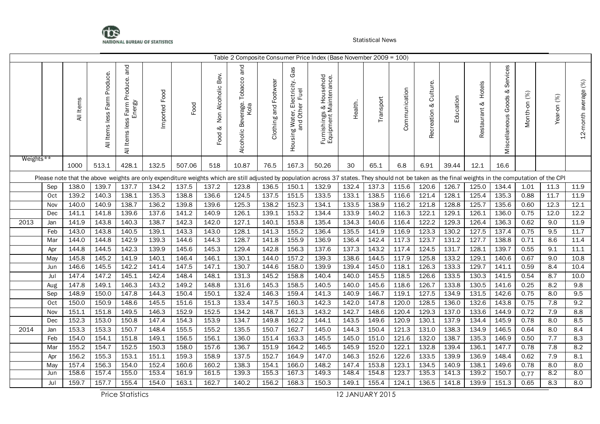

|           |     |                |                                     |                                             |                |        |                                 |                                            |                       |                                                                          | Table 2 Composite Consumer Price Index (Base November 2009 = 100)                                                                                                                                    |                |           |               |                             |           |                           |                                         |              |             |                      |
|-----------|-----|----------------|-------------------------------------|---------------------------------------------|----------------|--------|---------------------------------|--------------------------------------------|-----------------------|--------------------------------------------------------------------------|------------------------------------------------------------------------------------------------------------------------------------------------------------------------------------------------------|----------------|-----------|---------------|-----------------------------|-----------|---------------------------|-----------------------------------------|--------------|-------------|----------------------|
|           |     | All Items      | Produce.<br>Farm<br>Items less<br>₹ | Items less Farm Produce. and<br>Energy<br>₹ | Imported Food  | Food   | Non Alcoholic Bev.<br>ళ<br>Food | and<br>Alcoholic Beverage. Tobacco<br>Kola | Clothing and Footwear | Gas<br>ectricity.<br>Fuel<br>g Water, Ele<br>and Other<br>Housing Water, | Furnishings & Household<br>Equipment Maintenance.                                                                                                                                                    | Health.        | Transport | Communication | Culture.<br>ಳ<br>Recreation | Education | Hotels<br>ళ<br>Restaurant | Services<br>ళ<br>Goods<br>Miscellaneous | Month-on (%) | Year-on (%) | 12-month average (%) |
| Weights** |     | 1000           | 513.1                               | 428.1                                       | 132.5          | 507.06 | 518                             | 10.87                                      | 76.5                  | 167.3                                                                    | 50.26                                                                                                                                                                                                | 30             | 65.1      | 6.8           | 6.91                        | 39.44     | 12.1                      | 16.6                                    |              |             |                      |
|           |     |                |                                     |                                             |                |        |                                 |                                            |                       |                                                                          | Please note that the above weights are only expenditure weights which are still adjusted by population across 37 states. They should not be taken as the final weights in the computation of the CPI |                |           |               |                             |           |                           |                                         |              |             |                      |
|           | Sep | 138.0          | 139.7                               | 137.7                                       | 134.2          | 137.5  | 137.2                           | 123.8                                      | 136.5                 | 150.1                                                                    | 132.9                                                                                                                                                                                                | 132.4          | 137.3     | 115.6         | 120.6                       | 126.7     | 125.0                     | 134.4                                   | 1.01         | 11.3        | 11.9                 |
|           | Oct | 139.2          | 140.3                               | 138.1                                       | 135.3          | 138.8  | 136.6                           | 124.5                                      | 137.5                 | 151.5                                                                    | 133.5                                                                                                                                                                                                | 133.1          | 138.5     | 116.6         | 121.4                       | 128.1     | 125.4                     | 135.3                                   | 0.88         | 11.7        | 11.9                 |
|           | Nov | 140.0          | 140.9                               | 138.7                                       | 136.2          | 139.8  | 139.6                           | 125.3                                      | 138.2                 | 152.3                                                                    | 134.1                                                                                                                                                                                                | 133.5          | 138.9     | 116.2         | 121.8                       | 128.8     | 125.7                     | 135.6                                   | 0.60         | 12.3        | 12.1                 |
|           | Dec | 141.1          | 141.8                               | 139.6                                       | 137.6          | 141.2  | 140.9                           | 126.1                                      | 139.1                 | 153.2                                                                    | 134.4                                                                                                                                                                                                | 133.9          | 140.2     | 116.3         | 122.1                       | 129.1     | 126.1                     | 136.0                                   | 0.75         | 12.0        | 12.2                 |
| 2013      | Jan | 141.9          | 143.8                               | 140.3                                       | 138.7          | 142.3  | 142.0                           | 127.1                                      | 140.1                 | 153.8                                                                    | 135.4                                                                                                                                                                                                | 134.3          | 140.6     | 116.4         | 122.2                       | 129.3     | 126.4                     | 136.3                                   | 0.62         | 9.0         | 11.9                 |
|           | Feb | 143.0          | 143.8                               | 140.5                                       | 139.1          | 143.3  | 143.0                           | 128.1                                      | 141.3                 | 155.2                                                                    | 136.4                                                                                                                                                                                                | 135.5          | 141.9     | 116.9         | 123.3                       | 130.2     | 127.5                     | 137.4                                   | 0.75         | 9.5         | 11.7                 |
|           | Mar | 144.0          | 144.8                               | 142.9                                       | 139.3          | 144.6  | 144.3                           | 128.7                                      | 141.8                 | 155.9                                                                    | 136.9                                                                                                                                                                                                | 136.4          | 142.4     | 117.3         | 123.7                       | 131.2     | 127.7                     | 138.8                                   | 0.71         | 8.6         | 11.4                 |
|           | Apr | 144.8          | 144.5                               | 142.3                                       | 139.9          | 145.6  | 145.3                           | 129.4                                      | 142.8                 | 156.3                                                                    | 137.6                                                                                                                                                                                                | 137.3          | 143.2     | 117.4         | 124.5                       | 131.7     | 128.1                     | 139.7                                   | 0.55         | 9.1         | 11.1                 |
|           | May | 145.8          | 145.2                               | 141.9                                       | 140.1          | 146.4  | 146.1                           | 130.1                                      | 144.0                 | 157.2                                                                    | 139.3                                                                                                                                                                                                | 138.6          | 144.5     | 117.9         | 125.8                       | 133.2     | 129.1                     | 140.6                                   | 0.67         | 9.0         | 10.8                 |
|           | Jun | 146.6          | 145.5                               | 142.2                                       | 141.4          | 147.5  | 147.1                           | 130.7                                      | 144.6                 | 158.0                                                                    | 139.9                                                                                                                                                                                                | 139.4          | 145.0     | 118.1         | 126.3                       | 133.3     | 129.7                     | 141.1                                   | 0.59         | 8.4         | 10.4                 |
|           | Jul | 147.4          | 147.2                               | 145.1                                       | 142.4          | 148.4  | 148.1                           | 131.3                                      | 145.2                 | 158.8                                                                    | 140.4                                                                                                                                                                                                | 140.0          | 145.5     | 118.5         | 126.6                       | 133.5     | 130.3                     | 141.5                                   | 0.54         | 8.7         | 10.0                 |
|           | Aug | 147.8          | 149.1                               | 146.3                                       | 143.2          | 149.2  | 148.8                           | 131.6                                      | 145.3                 | 158.5                                                                    | 140.5                                                                                                                                                                                                | 140.0          | 145.6     | 118.6         | 126.7                       | 133.8     | 130.5                     | 141.6                                   | 0.25         | 8.2         | 9.8                  |
|           | Sep | 148.9          | 150.0                               | 147.8                                       | 144.3          | 150.4  | 150.1                           | 132.4                                      | 146.3                 | 159.4                                                                    | 141.3                                                                                                                                                                                                | 140.9          | 146.7     | 119.1         | 127.5                       | 134.9     | 131.5                     | 142.6                                   | 0.75         | 8.0         | 9.5                  |
|           | Oct | 150.0          | 150.9                               | 148.6                                       | 145.5          | 151.6  | 151.3                           | 133.4                                      | 147.5                 | 160.3                                                                    | 142.3                                                                                                                                                                                                | 142.0          | 147.8     | 120.0         | 128.5                       | 136.0     | 132.6                     | 143.8                                   | 0.75         | 7.8         | 9.2                  |
|           | Nov | 151.1          | 151.8                               | 149.5                                       | 146.3          | 152.9  | 152.5                           | 134.2                                      | 148.7                 | 161.3                                                                    | 143.2                                                                                                                                                                                                | 142.7          | 148.6     | 120.4         | 129.3                       | 137.0     | 133.6                     | 144.9                                   | 0.72         | 7.9         | 8.8                  |
|           | Dec | 152.3          | 153.0                               | 150.8                                       | 147.4          | 154.3  | 153.9                           | 134.7                                      | 149.8                 | 162.2                                                                    | 144.1                                                                                                                                                                                                | 143.5          | 149.6     | 120.9         | 130.1                       | 137.9     | 134.4                     | 145.9                                   | 0.78         | 8.0         | 8.5                  |
| 2014      | Jan | 153.3          | 153.3                               | 150.7                                       | 148.4          | 155.5  | 155.2                           | 135.5                                      | 150.7                 | 162.7                                                                    | 145.0                                                                                                                                                                                                | 144.3          | 150.4     | 121.3         | 131.0                       | 138.3     | 134.9                     | 146.5                                   | 0.64         | 8.0         | 8.4                  |
|           | Feb | 154.0          | 154.1                               | 151.8                                       | 149.1          | 156.5  | 156.1                           | 136.0                                      | 151.4                 | 163.3                                                                    | 145.5                                                                                                                                                                                                | 145.0          | 151.0     | 121.6         | 132.0                       | 138.7     | 135.3                     | 146.9                                   | 0.50         | 7.7         | 8.3                  |
|           | Mar | 155.2          | 154.7                               | 152.5                                       | 150.3          | 158.0  | 157.6                           | 136.7                                      | 151.9                 | 164.2                                                                    | 146.5                                                                                                                                                                                                | 145.9          | 152.0     | 122.1         | 132.8                       | 139.4     | 136.1                     | 147.7                                   | 0.78         | 7.8         | 8.2                  |
|           | Apr | 156.2          | 155.3                               | 153.1                                       | 151.1          | 159.3  | 158.9                           | 137.5                                      | 152.7                 | 164.9                                                                    | 147.0                                                                                                                                                                                                | 146.3          | 152.6     | 122.6         | 133.5                       | 139.9     | 136.9                     | 148.4                                   | 0.62         | 7.9         | 8.1                  |
|           | May | 157.4<br>158.6 | 156.3                               | 154.0<br>155.0                              | 152.4<br>153.4 | 160.6  | 160.2                           | 138.3<br>139.3                             | 154.1<br>155.3        | 166.0<br>167.3                                                           | 148.2                                                                                                                                                                                                | 147.4<br>148.4 | 153.8     | 123.1         | 134.5<br>135.3              | 140.9     | 138.1<br>139.2            | 149.6                                   | 0.78         | 8.0         | 8.0<br>8.0           |
|           | Jun |                | 157.4                               |                                             |                | 161.9  | 161.5                           |                                            |                       |                                                                          | 149.3                                                                                                                                                                                                |                | 154.8     | 123.7         |                             | 141.3     |                           | 150.7                                   | 0.77         | 8.2         |                      |
|           | Jul | 159.7          | 157.7                               | 155.4                                       | 154.0          | 163.1  | 162.7                           | 140.2                                      | 156.2                 | 168.3                                                                    | 150.3                                                                                                                                                                                                | 149.1          | 155.4     | 124.1         | 136.5                       | 141.8     | 139.9                     | 151.3                                   | 0.65         | 8.3         | 8.0                  |

Price Statistics 12 JANUARY 2015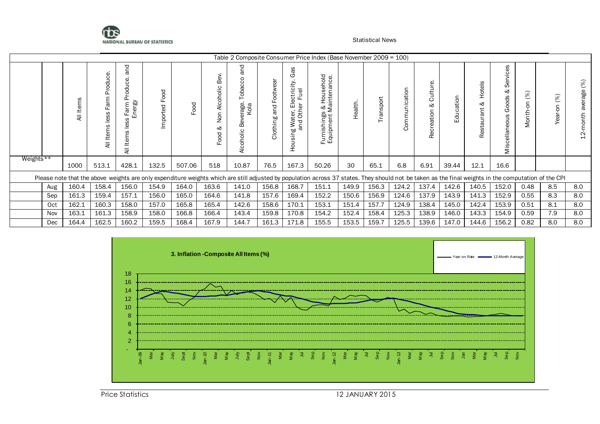

|           |     |            |                                          |                                                                    |                      |        |                                                | Table 2 Composite Consumer Price Index (Base November 2009 = 100)                                                                                                                                    |                                     |                                                                                                                                             |                                                                                     |         |          |                                                            |                                 |                 |                           |                                                                             |                                       |                   |                              |
|-----------|-----|------------|------------------------------------------|--------------------------------------------------------------------|----------------------|--------|------------------------------------------------|------------------------------------------------------------------------------------------------------------------------------------------------------------------------------------------------------|-------------------------------------|---------------------------------------------------------------------------------------------------------------------------------------------|-------------------------------------------------------------------------------------|---------|----------|------------------------------------------------------------|---------------------------------|-----------------|---------------------------|-----------------------------------------------------------------------------|---------------------------------------|-------------------|------------------------------|
|           |     | Items<br>₹ | ပ္ပ<br>ರ<br>Δ.<br>Farm<br>less<br>Ë<br>₹ | ℧<br>⊆<br>ω<br>$\circ$<br>흥<br>ergy<br>arm<br>띻<br>ق<br>Item:<br>₹ | boo<br>正<br>Imported | Food   | ි<br>മ്<br>olic<br>Alcoh<br>g<br>z<br>ళ<br>goo | and<br>S<br>obaco<br>rage.<br>Kola<br>้ดว<br>മ<br>Alcoholic                                                                                                                                          | దె<br>Footw<br>and<br>۵O<br>Clothin | Gas<br>Έ<br>$\circ$<br>$\overline{\Phi}$<br>ட<br>ш<br>$\overline{\omega}$<br>ter,<br>Oth<br>pa<br>Na<br>≳<br>۵n<br>$\frac{1}{5}$<br>Ба<br>Т | 응 ei<br>등 은<br>Hous<br>intena<br>$rac{1}{2}$<br>ishings<br>pment l<br>Furni<br>Equi | Health. | ransport | ication<br>$\mathbf{\subseteq}$<br>$\Rightarrow$<br>Ξ<br>g | စ္<br>Cultur<br>ನ<br>Recreation | ation<br>ರ<br>Ш | Hotels<br>∞<br>Restaurant | 8<br>Ō<br>÷<br>ō<br>Ō<br>∞<br>Goods<br>eous<br>ellan<br>$\overline{O}$<br>Σ | $\%$<br>↩<br>$\overline{5}$<br>Month- | (%)<br>ξ,<br>ear. | $(%)$<br>average<br>12-month |
| Weights** |     | 1000       | 513.1                                    | 428.1                                                              | 132.5                | 507.06 | 518                                            | 10.87                                                                                                                                                                                                | 76.5                                | 167.3                                                                                                                                       | 50.26                                                                               | 30      | 65.1     | 6.8                                                        | 6.91                            | 39.44           | 12.1                      | 16.6                                                                        |                                       |                   |                              |
|           |     |            |                                          |                                                                    |                      |        |                                                | Please note that the above weights are only expenditure weights which are still adjusted by population across 37 states. They should not be taken as the final weights in the computation of the CPI |                                     |                                                                                                                                             |                                                                                     |         |          |                                                            |                                 |                 |                           |                                                                             |                                       |                   |                              |
|           | Aug | 160.4      | 158.4                                    | 156.0                                                              | 154.9                | 164.0  | 163.6                                          | 141.0                                                                                                                                                                                                | 156.8                               | 168.7                                                                                                                                       | 151.1                                                                               | 149.9   | 156.3    | 124.2                                                      | 137.4                           | 142.6           | 140.5                     | 152.0                                                                       | 0.48                                  | 8.5               | 8.0                          |
|           | Sep | 161.3      | 159.4                                    | 157.1                                                              | 156.0                | 165.0  | 164.6                                          | 141.8                                                                                                                                                                                                | 157.6                               | 169.4                                                                                                                                       | 152.2                                                                               | 150.6   | 156.9    | 124.6                                                      | 137.9                           | 143.9           | 141.3                     | 152.9                                                                       | 0.55                                  | 8.3               | 8.0                          |
|           | Oct | 162.1      | 160.3                                    | 158.0                                                              | 157.0                | 165.8  | 165.4                                          | 142.6                                                                                                                                                                                                | 158.6                               | 170.1                                                                                                                                       | 153.1                                                                               | 151.4   | 157.7    | 124.9                                                      | 138.4                           | 145.0           | 142.4                     | 153.9                                                                       | 0.51                                  | 8.1               | 8.0                          |
|           | Nov | 163.1      | 161.3                                    | 158.9                                                              | 158.0                | 166.8  | 166.4                                          | 143.4                                                                                                                                                                                                | 159.8                               | 170.8                                                                                                                                       | 154.2                                                                               | 152.4   | 158.4    | 125.3                                                      | 138.9                           | 146.0           | 143.3                     | 154.9                                                                       | 0.59                                  | 7.9               | 8.0                          |
|           | Dec | 164.4      | 162.5                                    | 160.2                                                              | 159.5                | 168.4  | 167.9                                          | 144.7                                                                                                                                                                                                | 161.3                               | 171.8                                                                                                                                       | 155.5                                                                               | 153.5   | 159.7    | 125.5                                                      | 139.6                           | 147.0           | 144.6                     | 156.2                                                                       | 0.82                                  | 8.0               | 8.0                          |

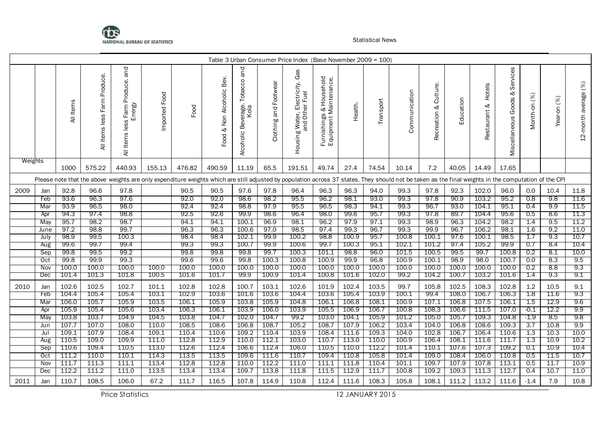

|         |                   |               |                                     |                                                                                                                                                                                                      |                  |              |                                 |                                                  |                          | Table 3 Urban Consumer Price Index (Base November 2009 = 100)  |                                                             |              |              |                |                             |              |                           |                                         |                 |             |                      |
|---------|-------------------|---------------|-------------------------------------|------------------------------------------------------------------------------------------------------------------------------------------------------------------------------------------------------|------------------|--------------|---------------------------------|--------------------------------------------------|--------------------------|----------------------------------------------------------------|-------------------------------------------------------------|--------------|--------------|----------------|-----------------------------|--------------|---------------------------|-----------------------------------------|-----------------|-------------|----------------------|
|         |                   | All Items     | Produce.<br>Farm<br>Items less<br>₹ | and<br>Produce.<br>Energy<br>Farm<br>S<br><u>es</u><br>All Items                                                                                                                                     | Food<br>Imported | Food         | Bev.<br>& Non Alcoholic<br>Food | and<br>Tobacco<br>Beverage.<br>Kola<br>Alcoholic | and Footwear<br>Clothing | Gas<br>Electricity.<br>Fuel<br>Housing Water, Eli<br>and Other | s & Household<br>Maintenance.<br>Furnishings<br>Equipment N | Health.      | Transport    | Communication  | Culture.<br>જ<br>Recreation | Education    | Hotels<br>ಳ<br>Restaurant | Services<br>જ<br>Goods<br>Miscellaneous | (%)<br>Month-on | Year-on (%) | 12-month average (%) |
| Weights |                   | 1000          | 575.22                              | 440.93                                                                                                                                                                                               | 155.13           | 476.82       | 490.59                          | 11.19                                            | 65.5                     | 191.51                                                         | 49.74                                                       | 27.4         | 74.54        | 10.14          | 7.2                         | 40.05        | 14.49                     | 17.65                                   |                 |             |                      |
|         |                   |               |                                     | Please note that the above weights are only expenditure weights which are still adjusted by population across 37 states. They should not be taken as the final weights in the computation of the CPI |                  |              |                                 |                                                  |                          |                                                                |                                                             |              |              |                |                             |              |                           |                                         |                 |             |                      |
| 2009    | Jan               | 92.8          | 96.6                                | 97.8                                                                                                                                                                                                 |                  | 90.5         | 90.5                            | 97.6                                             | 97.8                     | 96.4                                                           | 96.3                                                        | 96.3         | 94.0         | 99.3           | 97.8                        | 92.3         | 102.0                     | 96.0                                    | 0.0             | 10.4        | 11.8                 |
|         | Feb               | 93.6          | 96.3                                | 97.6                                                                                                                                                                                                 |                  | 92.0         | 92.0                            | 98.6                                             | 98.2                     | 95.5                                                           | 96.2                                                        | 98.1         | 93.0         | 99.3           | 97.8                        | 90.9         | 103.2                     | 95.2                                    | 0.8             | 9.8         | 11.6                 |
|         | Mar               | 93.9          | 96.5                                | 98.0                                                                                                                                                                                                 |                  | 92.4         | 92.4                            | 98.8                                             | 97.9                     | 95.5                                                           | 96.5                                                        | 98.3         | 94.1         | 99.3           | 96.7                        | 93.0         | 104.1                     | 95.1                                    | 0.4             | 9.9         | 11.5                 |
|         | Apr               | 94.3          | 97.4                                | 98.8                                                                                                                                                                                                 |                  | 92.5         | 92.6                            | 99.9                                             | 98.6                     | 96.4                                                           | 98.0                                                        | 99.6         | 95.7         | 99.3           | 97.8                        | 89.7         | 104.4                     | 95.6                                    | 0.5             | 8.6         | 11.3                 |
|         | May               | 95.7          | 98.2                                | 98.7                                                                                                                                                                                                 |                  | 94.1         | 94.1                            | 100.1                                            | 96.9                     | 98.1                                                           | 96.2                                                        | 97.9         | 97.1         | 99.3           | 98.9                        | 96.3         | 104.2                     | 98.2                                    | 1.4             | 9.5         | 11.2                 |
|         | June              | 97.2          | 98.8                                | 99.7                                                                                                                                                                                                 |                  | 96.3         | 96.3                            | 100.6                                            | 97.0                     | 98.5                                                           | 97.4                                                        | 99.3         | 96.7         | 99.3           | 99.9                        | 96.7         | 106.2                     | 98.1                                    | 1.6             | 9.2         | 11.0                 |
|         | July              | 98.9          | 99.5                                | 100.3                                                                                                                                                                                                |                  | 98.4         | 98.4                            | 102.1                                            | 99.9                     | 100.2                                                          | 98.8                                                        | 100.9        | 95.7         | 100.8          | 100.1                       | 97.6         | 100.1                     | 98.5                                    | 1.7             | 9.3         | 10.7                 |
|         | Aug               | 99.6          | 99.7                                | 99.4                                                                                                                                                                                                 |                  | 99.3         | 99.3                            | 100.7                                            | 99.9                     | 100.6                                                          | 99.7                                                        | 100.3        | 95.1         | 102.1          | 101.2                       | 97.4         | 105.2                     | 99.9                                    | 0.7             | 8.4         | 10.4                 |
|         | Sep               | 99.8          | 99.5<br>99.9                        | 99.2<br>99.3                                                                                                                                                                                         |                  | 99.8<br>99.6 | 99.8<br>99.6                    | 99.8                                             | 99.7<br>100.3            | 100.3<br>100.8                                                 | 101.1<br>100.9                                              | 98.8<br>99.9 | 96.0<br>96.8 | 101.5<br>100.9 | 100.5                       | 99.5<br>98.9 | 99.7<br>98.0              | 100.8<br>100.7                          | 0.2<br>0.0      | 8.1<br>8.3  | 10.0<br>9.5          |
|         | Oct<br><b>Nov</b> | 99.8<br>100.0 | 100.0                               | 100.0                                                                                                                                                                                                | 100.0            | 100.0        | 100.0                           | 99.8<br>100.0                                    | 100.0                    | 100.0                                                          | 100.0                                                       | 100.0        | 100.0        | 100.0          | 100.1<br>100.0              | 100.0        | 100.0                     | 100.0                                   | 0.2             | 8.8         | 9.3                  |
|         | Dec               | 101.4         | 101.3                               | 101.8                                                                                                                                                                                                | 100.5            | 101.6        | 101.7                           | 99.9                                             | 100.9                    | 101.4                                                          | 100.8                                                       | 101.6        | 102.0        | 99.2           | 104.2                       | 100.7        | 103.2                     | 101.6                                   | 1.4             | 9.3         | 9.1                  |
| 2010    | Jan               | 102.6         | 102.5                               | 102.7                                                                                                                                                                                                | 101.1            | 102.8        | 102.8                           | 100.7                                            | 103.1                    | 102.6                                                          | 101.9                                                       | 102.4        | 103.5        | 99.7           | 105.8                       | 102.5        | 108.3                     | 102.8                                   | 1.2             | 10.5        | 9.1                  |
|         | Feb               | 104.4         | 105.4                               | 105.4                                                                                                                                                                                                | 103.1            | 102.9        | 103.6                           | 101.6                                            | 103.6                    | 104.4                                                          | 103.6                                                       | 105.4        | 103.9        | 100.1          | 99.4                        | 108.0        | 106.7                     | 106.3                                   | $1.8\,$         | 11.6        | 9.3                  |
|         | Mar               | 106.0         | 105.7                               | 105.9                                                                                                                                                                                                | 103.5            | 106.1        | 105.9                           | 103.8                                            | 105.9                    | 104.8                                                          | 106.1                                                       | 106.8        | 108.1        | 100.9          | 107.1                       | 106.8        | 107.5                     | 106.1                                   | 1.5             | 12.9        | 9.6                  |
|         | Apr               | 105.9         | 105.4                               | 105.6                                                                                                                                                                                                | 103.4            | 106.3        | 106.1                           | 103.9                                            | 106.0                    | 103.9                                                          | 105.5                                                       | 106.9        | 106.7        | 100.8          | 108.3                       | 106.6        | 111.5                     | 107.0                                   | $-0.1$          | 12.2        | 9.9                  |
|         | May               | 103.8         | 103.7                               | 104.9                                                                                                                                                                                                | 104.5            | 103.8        | 104.7                           | 102.0                                            | 104.7                    | 99.2                                                           | 103.0                                                       | 104.1        | 105.9        | 101.2          | 105.0                       | 105.7        | 109.3                     | 104.8                                   | -1.9            | 8.5         | 9.8                  |
|         | Jun               | 107.7         | 107.0                               | 108.0                                                                                                                                                                                                | 110.0            | 108.5        | 108.6                           | 106.8                                            | 108.7                    | 105.2                                                          | 108.7                                                       | 107.9        | 106.2        | 103.4          | 104.0                       | 106.8        | 108.6                     | 109.3                                   | 3.7             | 10.8        | 9.9                  |
|         | Jul               | 109.1         | 107.9                               | 108.4                                                                                                                                                                                                | 109.1            | 110.4        | 110.6                           | 109.2                                            | 110.4                    | 103.9                                                          | 108.4                                                       | 111.6        | 109.3        | 104.0          | 102.8                       | 106.7        | 106.4                     | 110.6                                   | 1.3             | 10.3        | 10.0                 |
|         | Aug               | 110.5         | 109.0                               | 109.9                                                                                                                                                                                                | 111.0            | 112.8        | 112.9                           | 110.0                                            | 112.1                    | 103.0                                                          | 110.7                                                       | 113.0        | 110.0        | 100.9          | 106.4                       | 108.1        | 111.6                     | 111.7                                   | 1.3             | 10.9        | 10.2                 |
|         | Sep               | 110.6         | 109.4                               | 110.5                                                                                                                                                                                                | 113.0            | 112.6        | 112.4                           | 106.6                                            | 112.4                    | 106.0                                                          | 110.5                                                       | 110.0        | 112.2        | 101.4          | 110.1                       | 107.6        | 107.3                     | 109.2                                   | 0.1             | 10.9        | 10.4                 |
|         | Oct               | 111.2         | 110.0                               | 110.1                                                                                                                                                                                                | 114.3            | 113.5        | 113.5                           | 109.6                                            | 111.6                    | 110.7                                                          | 109.4                                                       | 110.8        | 105.8        | 101.4          | 109.0                       | 108.4        | 106.0                     | 110.8                                   | 0.5             | 11.5        | 10.7                 |
|         | Nov               | 111.7         | 111.3                               | 111.1                                                                                                                                                                                                | 113.4            | 112.8        | 112.8                           | 110.0                                            | 112.2                    | 111.0                                                          | 111.1                                                       | 111.8        | 110.4        | 101.1          | 109.7                       | 107.9        | 107.8                     | 113.1                                   | 0.5             | 11.7        | 10.9                 |
|         | Dec               | 112.2         | 111.2                               | 111.0                                                                                                                                                                                                | 113.5            | 113.4        | 113.4                           | 109.7                                            | 113.8                    | 111.8                                                          | 111.5                                                       | 112.9        | 111.7        | 100.8          | 109.2                       | 109.3        | 111.3                     | 112.7                                   | 0.4             | 10.7        | 11.0                 |
| 2011    | Jan               | 110.7         | 108.5                               | 106.0                                                                                                                                                                                                | 67.2             | 111.7        | 116.5                           | 107.8                                            | 114.9                    | 110.8                                                          | 112.4                                                       | 111.6        | 108.3        | 105.8          | 108.1                       | 111.2        | 113.2                     | 111.6                                   | $-1.4$          | 7.9         | 10.8                 |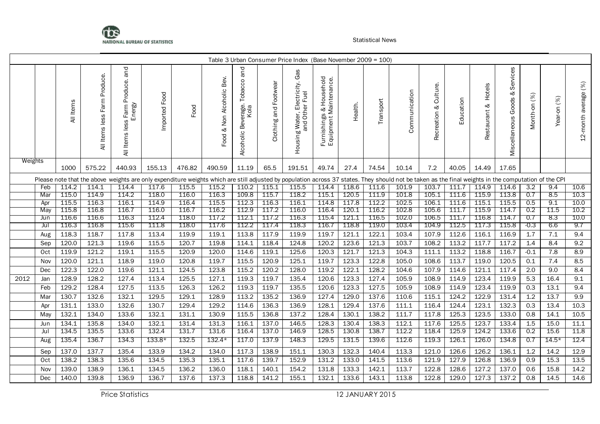

|         |            |                |                                        |                                                             |                |                                                                                                                                                                                                      |                                       |                                               |                       | Table 3 Urban Consumer Price Index (Base November 2009 = 100)   |                                                                          |                |                |                |                             |                |                           |                                         |              |                |                      |
|---------|------------|----------------|----------------------------------------|-------------------------------------------------------------|----------------|------------------------------------------------------------------------------------------------------------------------------------------------------------------------------------------------------|---------------------------------------|-----------------------------------------------|-----------------------|-----------------------------------------------------------------|--------------------------------------------------------------------------|----------------|----------------|----------------|-----------------------------|----------------|---------------------------|-----------------------------------------|--------------|----------------|----------------------|
|         |            | All Items      | Produce.<br>Farm<br>less<br>Items<br>₹ | and<br>Produce.<br>Energy<br>Farm<br>S<br>Les<br>Items<br>₹ | Imported Food  | Food                                                                                                                                                                                                 | Bev.<br>Alcoholic<br>Non<br>ళ<br>Food | and<br>Tobacco<br>Alcoholic Beverage.<br>Kola | Clothing and Footwear | Gas<br>lectricity.<br>r Fuel<br>Housing Water, Ele<br>and Other | Household<br>s & Household<br>Maintenance.<br>Furnishings<br>Equipment N | Health.        | Transport      | Communication  | Culture.<br>ళ<br>Recreation | Education      | Hotels<br>ళ<br>Restaurant | Services<br>જ<br>Goods<br>Miscellaneous | Month-on (%) | (%)<br>Year-on | 12-month average (%) |
| Weights |            | 1000           | 575.22                                 | 440.93                                                      | 155.13         | 476.82                                                                                                                                                                                               | 490.59                                | 11.19                                         | 65.5                  | 191.51                                                          | 49.74                                                                    | 27.4           | 74.54          | 10.14          | 7.2                         | 40.05          | 14.49                     | 17.65                                   |              |                |                      |
|         |            |                |                                        |                                                             |                | Please note that the above weights are only expenditure weights which are still adjusted by population across 37 states. They should not be taken as the final weights in the computation of the CPI |                                       |                                               |                       |                                                                 |                                                                          |                |                |                |                             |                |                           |                                         |              |                |                      |
|         | Feb        | 114.2          | 114.1                                  | 114.4                                                       | 117.6          | 115.5                                                                                                                                                                                                | 115.2                                 | 110.2                                         | 115.1                 | 115.5                                                           | 114.4                                                                    | 118.6          | 111.6          | 101.9          | 103.7                       | 111.7          | 114.9                     | 114.6                                   | 3.2          | 9.4            | 10.6                 |
|         | Mar        | 115.0<br>115.5 | 114.9<br>116.3                         | 114.2<br>116.1                                              | 118.0          | 116.0<br>116.4                                                                                                                                                                                       | 116.3<br>115.5                        | 109.8<br>112.3                                | 115.7                 | 118.2<br>116.1                                                  | 115.1<br>114.8                                                           | 120.5<br>117.8 | 111.9<br>112.2 | 101.8<br>102.5 | 105.1<br>106.1              | 111.6<br>111.6 | 115.9                     | 113.8<br>115.5                          | 0.7<br>0.5   | 8.5<br>9.1     | 10.3<br>10.0         |
|         | Apr<br>May | 115.8          | 116.8                                  | 116.7                                                       | 114.9<br>116.0 | 116.7                                                                                                                                                                                                | 116.2                                 | 112.9                                         | 116.3<br>117.2        | 116.0                                                           | 116.4                                                                    | 120.1          | 116.2          | 102.8          | 105.6                       | 111.7          | 115.1<br>115.9            | 114.7                                   | 0.2          | 11.5           | 10.2                 |
|         | Jun        | 116.6          | 116.6                                  | 116.3                                                       | 112.4          | 118.0                                                                                                                                                                                                | 117.2                                 | 112.1                                         | 117.2                 | 116.3                                                           | 115.4                                                                    | 121.1          | 116.5          | 102.0          | 106.5                       | 111.7          | 116.8                     | 114.7                                   | 0.7          | 8.3            | 10.0                 |
|         | Jul        | 116.3          | 116.8                                  | 115.6                                                       | 111.8          | 118.0                                                                                                                                                                                                | 117.6                                 | 112.2                                         | 117.4                 | 118.3                                                           | 116.7                                                                    | 118.8          | 119.0          | 103.4          | 104.9                       | 112.5          | 117.3                     | 115.8                                   | $-0.3$       | 6.6            | 9.7                  |
|         | Aug        | 118.3          | 118.7                                  | 117.8                                                       | 113.4          | 119.9                                                                                                                                                                                                | 119.1                                 | 113.8                                         | 117.9                 | 119.9                                                           | 119.7                                                                    | 121.1          | 122.1          | 103.4          | 107.9                       | 112.6          | 116.1                     | 116.9                                   | 1.7          | $7.1\,$        | 9.4                  |
|         | Sep        | 120.0          | 121.3                                  | 119.6                                                       | 115.5          | 120.7                                                                                                                                                                                                | 119.8                                 | 114.1                                         | 118.4                 | 124.8                                                           | 120.2                                                                    | 123.6          | 121.3          | 103.7          | 108.2                       | 113.2          | 117.7                     | 117.2                                   | 1.4          | 8.4            | 9.2                  |
|         | Oct        | 119.9          | 121.2                                  | 119.1                                                       | 115.5          | 120.9                                                                                                                                                                                                | 120.0                                 | 114.6                                         | 119.1                 | 125.6                                                           | 120.3                                                                    | 121.7          | 121.3          | 104.3          | 111.1                       | 113.2          | 118.8                     | 116.7                                   | $-0.1$       | 7.8            | 8.9                  |
|         | Nov        | 120.0          | 121.1                                  | 118.9                                                       | 119.0          | 120.8                                                                                                                                                                                                | 119.7                                 | 115.5                                         | 120.9                 | 125.1                                                           | 119.7                                                                    | 123.3          | 122.8          | 105.0          | 108.6                       | 113.7          | 119.0                     | 120.5                                   | 0.1          | 7.4            | 8.5                  |
|         | Dec        | 122.3          | 122.0                                  | 119.6                                                       | 121.1          | 124.5                                                                                                                                                                                                | 123.8                                 | 115.2                                         | 120.2                 | 128.0                                                           | 119.2                                                                    | 122.1          | 128.2          | 104.6          | 107.9                       | 114.6          | 121.1                     | 117.4                                   | 2.0          | 9.0            | 8.4                  |
| 2012    | Jan        | 128.9          | 128.2                                  | 127.4                                                       | 113.4          | 125.5                                                                                                                                                                                                | 127.1                                 | 119.3                                         | 119.7                 | 135.4                                                           | 120.6                                                                    | 123.3          | 127.4          | 105.9          | 108.9                       | 114.9          | 123.4                     | 119.9                                   | 5.3          | 16.4           | 9.1                  |
|         | Feb        | 129.2          | 128.4                                  | 127.5                                                       | 113.5          | 126.3                                                                                                                                                                                                | 126.2                                 | 119.3                                         | 119.7                 | 135.5                                                           | 120.6                                                                    | 123.3          | 127.5          | 105.9          | 108.9                       | 114.9          | 123.4                     | 119.9                                   | 0.3          | 13.1           | 9.4                  |
|         | Mar        | 130.7          | 132.6                                  | 132.1                                                       | 129.5          | 129.1                                                                                                                                                                                                | 128.9                                 | 113.2                                         | 135.2                 | 136.9                                                           | 127.4                                                                    | 129.0          | 137.6          | 110.6          | 115.1                       | 124.2          | 122.9                     | 131.4                                   | 1.2          | 13.7           | 9.9                  |
|         | Apr        | 131.1          | 133.0                                  | 132.6                                                       | 130.7          | 129.4                                                                                                                                                                                                | 129.2                                 | 114.6                                         | 136.3                 | 136.9                                                           | 128.1                                                                    | 129.4          | 137.6          | 111.1          | 116.4                       | 124.4          | 123.1                     | 132.3                                   | 0.3          | 13.4           | 10.3                 |
|         | May        | 132.1          | 134.0                                  | 133.6                                                       | 132.1          | 131.1                                                                                                                                                                                                | 130.9                                 | 115.5                                         | 136.8                 | 137.2                                                           | 128.4                                                                    | 130.1          | 138.2          | 111.7          | 117.8                       | 125.3          | 123.5                     | 133.0                                   | 0.8          | 14.1           | 10.5                 |
|         | Jun        | 134.1          | 135.8                                  | 134.0                                                       | 132.1          | 131.4                                                                                                                                                                                                | 131.3                                 | 116.1                                         | 137.0                 | 146.5                                                           | 128.3                                                                    | 130.4          | 138.3          | 112.1          | 117.6                       | 125.5          | 123.7                     | 133.4                                   | 1.5          | 15.0           | 11.1                 |
|         | Jul        | 134.5          | 135.5                                  | 133.6                                                       | 132.4          | 131.7                                                                                                                                                                                                | 131.6                                 | 116.4                                         | 137.0                 | 146.9                                                           | 128.5                                                                    | 130.8          | 138.7          | 112.2          | 118.4                       | 125.9          | 124.2                     | 133.6                                   | 0.2          | 15.6           | 11.8                 |
|         | Aug        | 135.4          | 136.7                                  | 134.3                                                       | $133.8*$       | 132.5                                                                                                                                                                                                | $132.4*$                              | 117.0                                         | 137.9                 | 148.3                                                           | 129.5                                                                    | 131.5          | 139.6          | 112.6          | 119.3                       | 126.1          | 126.0                     | 134.8                                   | 0.7          | $14.5*$        | 12.4                 |
|         | Sep        | 137.0          | 137.7                                  | 135.4                                                       | 133.9          | 134.2                                                                                                                                                                                                | 134.0                                 | 117.3                                         | 138.9                 | 151.1                                                           | 130.3                                                                    | 132.3          | 140.4          | 113.3          | 121.0                       | 126.6          | 126.2                     | 136.1                                   | 1.2          | 14.2           | 12.9                 |
|         | Oct        | 138.2          | 138.3                                  | 135.6                                                       | 134.5          | 135.3                                                                                                                                                                                                | 135.1                                 | 117.6                                         | 139.7                 | 152.9                                                           | 131.2                                                                    | 133.0          | 141.5          | 113.6          | 121.9                       | 127.9          | 126.8                     | 136.9                                   | 0.9          | 15.3           | 13.5                 |
|         | Nov        | 139.0          | 138.9                                  | 136.1                                                       | 134.5          | 136.2                                                                                                                                                                                                | 136.0                                 | 118.1                                         | 140.1                 | 154.2                                                           | $131.\overline{8}$                                                       | 133.3          | 142.1          | 113.7          | 122.8                       | 128.6          | 127.2                     | 137.0                                   | 0.6          | 15.8           | 14.2                 |
|         | Dec        | 140.0          | 139.8                                  | 136.9                                                       | 136.7          | 137.6                                                                                                                                                                                                | 137.3                                 | 118.8                                         | 141.2                 | 155.1                                                           | 132.1                                                                    | 133.6          | 143.1          | 113.8          | 122.8                       | 129.0          | 127.3                     | 137.2                                   | 0.8          | 14.5           | 14.6                 |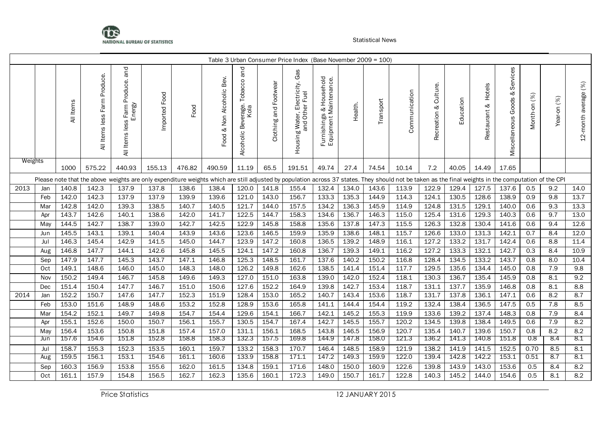

|         |     |           |                                    |                                                                   |                  |                                                                                                                                                                                                      |                                    |                                               |                       | Table 3 Urban Consumer Price Index (Base November 2009 = 100) |                                                                            |                |                |                |                             |                |                           |                                         |              |             |                      |
|---------|-----|-----------|------------------------------------|-------------------------------------------------------------------|------------------|------------------------------------------------------------------------------------------------------------------------------------------------------------------------------------------------------|------------------------------------|-----------------------------------------------|-----------------------|---------------------------------------------------------------|----------------------------------------------------------------------------|----------------|----------------|----------------|-----------------------------|----------------|---------------------------|-----------------------------------------|--------------|-------------|----------------------|
|         |     | All Items | Produce.<br>less Farm<br>All Items | and<br>Produce.<br>Energy<br>Farm<br>Items less<br>$\overline{a}$ | Food<br>Imported | Food                                                                                                                                                                                                 | Bev.<br>Non Alcoholic<br>જ<br>Food | and<br>Beverage. Tobacco<br>Kola<br>Alcoholic | Clothing and Footwear | Gas<br>Electricity.<br>Other<br>Housing Water, I<br>and Oth   | Household<br>s & Household<br>: Maintenance.<br>Furnishings<br>Equipment N | Health.        | Transport      | Communication  | Culture.<br>જ<br>Recreation | Education      | Hotels<br>ళ<br>Restaurant | Services<br>ళ<br>Goods<br>Miscellaneous | Month-on (%) | Year-on (%) | 12-month average (%) |
| Weights |     | 1000      | 575.22                             | 440.93                                                            | 155.13           | 476.82                                                                                                                                                                                               | 490.59                             | 11.19                                         | 65.5                  | 191.51                                                        | 49.74                                                                      | 27.4           | 74.54          | 10.14          | 7.2                         | 40.05          | 14.49                     | 17.65                                   |              |             |                      |
|         |     |           |                                    |                                                                   |                  | Please note that the above weights are only expenditure weights which are still adjusted by population across 37 states. They should not be taken as the final weights in the computation of the CPI |                                    |                                               |                       |                                                               |                                                                            |                |                |                |                             |                |                           |                                         |              |             |                      |
| 2013    | Jan | 140.8     | 142.3                              | 137.9                                                             | 137.8            | 138.6                                                                                                                                                                                                | 138.4                              | 120.0                                         | 141.8                 | 155.4                                                         | 132.4                                                                      | 134.0          | 143.6          | 113.9          | 122.9                       | 129.4          | 127.5                     | 137.6                                   | 0.5          | 9.2         | 14.0                 |
|         | Feb | 142.0     | 142.3                              | 137.9                                                             | 137.9            | 139.9                                                                                                                                                                                                | 139.6                              | 121.0                                         | 143.0                 | 156.7                                                         | 133.3                                                                      | 135.3          | 144.9          | 114.3          | 124.1                       | 130.5          | 128.6                     | 138.9                                   | 0.9          | 9.8         | 13.7                 |
|         | Mar | 142.8     | 142.0                              | 139.3                                                             | 138.5            | 140.7                                                                                                                                                                                                | 140.5                              | 121.7                                         | 144.0                 | 157.5                                                         | 134.2                                                                      | 136.3          | 145.9          | 114.9          | 124.8                       | 131.5          | 129.1                     | 140.0                                   | 0.6          | 9.3         | 13.3                 |
|         | Apr | 143.7     | 142.6                              | 140.1                                                             | 138.6            | 142.0                                                                                                                                                                                                | 141.7                              | 122.5                                         | 144.7                 | 158.3                                                         | 134.6                                                                      | 136.7          | 146.3          | 115.0          | 125.4                       | 131.6          | 129.3                     | 140.3                                   | 0.6          | 9.7         | 13.0                 |
|         | May | 144.5     | 142.7                              | 138.7                                                             | 139.0            | 142.7                                                                                                                                                                                                | 142.5                              | 122.9                                         | 145.8                 | 158.8                                                         | 135.6                                                                      | 137.8          | 147.3          | 115.5          | 126.3                       | 132.8          | 130.4                     | 141.6                                   | 0.6          | 9.4         | 12.6                 |
|         | Jun | 145.5     | 143.1                              | 139.1                                                             | 140.4            | 143.9                                                                                                                                                                                                | 143.6                              | 123.6                                         | 146.5                 | 159.9                                                         | 135.9                                                                      | 138.6          | 148.1          | 115.7          | 126.6                       | 133.0          | 131.3                     | 142.1                                   | 0.7          | 8.4         | 12.0                 |
|         | Jul | 146.3     | 145.4                              | 142.9                                                             | 141.5            | 145.0                                                                                                                                                                                                | 144.7                              | 123.9                                         | 147.2                 | 160.8                                                         | 136.5                                                                      | 139.2          | 148.9          | 116.1          | 127.2                       | 133.2          | 131.7                     | 142.4                                   | 0.6          | 8.8         | 11.4                 |
|         | Aug | 146.8     | 147.7                              | 144.1                                                             | 142.6            | 145.8                                                                                                                                                                                                | 145.5                              | 124.1                                         | 147.2                 | 160.8                                                         | 136.7                                                                      | 139.3          | 149.1          | 116.2          | 127.2                       | 133.3          | 132.1                     | 142.7                                   | 0.3          | 8.4         | 10.9                 |
|         | Sep | 147.9     | 147.7                              | 145.3                                                             | 143.7            | 147.1                                                                                                                                                                                                | 146.8                              | 125.3                                         | 148.5                 | 161.7                                                         | 137.6                                                                      | 140.2          | 150.2          | 116.8          | 128.4                       | 134.5          | 133.2                     | 143.7                                   | 0.8          | 8.0         | 10.4                 |
|         | Oct | 149.1     | 148.6                              | 146.0                                                             | 145.0            | 148.3                                                                                                                                                                                                | 148.0                              | 126.2                                         | 149.8                 | 162.6                                                         | 138.5                                                                      | 141.4          | 151.4          | 117.7          | 129.5                       | 135.6          | 134.4                     | 145.0                                   | 0.8          | 7.9         | 9.8                  |
|         | Nov | 150.2     | 149.4                              | 146.7                                                             | 145.8            | 149.6                                                                                                                                                                                                | 149.3                              | 127.0                                         | 151.0                 | 163.8                                                         | 139.0                                                                      | 142.0          | 152.4          | 118.1          | 130.3                       | 136.7          | 135.4                     | 145.9                                   | 0.8          | 8.1         | 9.2                  |
|         | Dec | 151.4     | 150.4                              | 147.7                                                             | 146.7            | 151.0                                                                                                                                                                                                | 150.6                              | 127.6                                         | 152.2                 | 164.9                                                         | 139.8                                                                      | 142.7          | 153.4          | 118.7          | 131.1                       | 137.7          | 135.9                     | 146.8                                   | 0.8          | 8.1         | 8.8                  |
| 2014    | Jan | 152.2     | 150.7                              | 147.6                                                             | 147.7            | 152.3                                                                                                                                                                                                | 151.9                              | 128.4                                         | 153.0                 | 165.2                                                         | 140.7                                                                      | 143.4          | 153.6          | 118.7          | 131.7                       | 137.8          | 136.1                     | 147.1                                   | 0.6          | 8.2         | 8.7                  |
|         | Feb | 153.0     | 151.6                              | 148.9                                                             | 148.6            | 153.2                                                                                                                                                                                                | 152.8                              | 128.9                                         | 153.6                 | 165.8                                                         | 141.1                                                                      | 144.4          | 154.4          | 119.2          | 132.4                       | 138.4          | 136.5                     | 147.5                                   | 0.5          | 7.8         | 8.5                  |
|         | Mar | 154.2     | 152.1                              | 149.7                                                             | 149.8            | 154.7                                                                                                                                                                                                | 154.4                              | 129.6                                         | 154.1                 | 166.7                                                         | 142.1                                                                      | 145.2          | 155.3          | 119.9          | 133.6                       | 139.2          | 137.4                     | 148.3                                   | 0.8          | 7.9         | 8.4                  |
|         | Apr | 155.1     | 152.6                              | 150.0                                                             | 150.7            | 156.1                                                                                                                                                                                                | 155.7                              | 130.5                                         | 154.7                 | 167.4                                                         | 142.7                                                                      | 145.5          | 155.7          | 120.2          | 134.5                       | 139.8          | 138.4                     | 149.5                                   | 0.6          | 7.9         | 8.2                  |
|         | May | 156.4     | 153.6                              | 150.8<br>151.8                                                    | 151.8<br>152.8   | 157.4<br>158.8                                                                                                                                                                                       | 157.0<br>158.3                     | 131.1<br>132.3                                | 156.1                 | 168.5<br>169.8                                                | 143.8<br>144.9                                                             | 146.5<br>147.8 | 156.9<br>158.0 | 120.7<br>121.3 | 135.4<br>136.2              | 140.7<br>141.3 | 139.6<br>140.8            | 150.7                                   | 0.8<br>0.8   | 8.2         | 8.2<br>8.1           |
|         | Jun | 157.6     | 154.6                              |                                                                   |                  |                                                                                                                                                                                                      |                                    |                                               | 157.5                 |                                                               |                                                                            |                |                |                |                             |                |                           | 151.8                                   |              | 8.4         |                      |
|         | Jul | 158.7     | 155.3<br>156.1                     | 152.3<br>153.1                                                    | 153.5<br>154.6   | 160.1<br>161.1                                                                                                                                                                                       | 159.7<br>160.6                     | 133.2<br>133.9                                | 158.3<br>158.8        | 170.7                                                         | 146.4<br>147.2                                                             | 148.5<br>149.3 | 158.9<br>159.9 | 121.9<br>122.0 | 138.2<br>139.4              | 141.9<br>142.8 | 141.5<br>142.2            | 152.5<br>153.1                          | 0.70<br>0.51 | 8.5<br>8.7  | 8.1<br>8.1           |
|         | Aug | 159.5     |                                    |                                                                   |                  |                                                                                                                                                                                                      |                                    |                                               |                       | 171.1                                                         |                                                                            |                |                |                |                             |                |                           |                                         |              |             |                      |
|         | Sep | 160.3     | 156.9                              | 153.8                                                             | 155.6            | 162.0                                                                                                                                                                                                | 161.5                              | 134.8                                         | 159.1                 | 171.6                                                         | 148.0                                                                      | 150.0          | 160.9          | 122.6          | 139.8                       | 143.9          | 143.0                     | 153.6                                   | 0.5          | 8.4         | 8.2                  |
|         | Oct | 161.1     | 157.9                              | 154.8                                                             | 156.5            | 162.7                                                                                                                                                                                                | 162.3                              | 135.6                                         | 160.1                 | 172.3                                                         | 149.0                                                                      | 150.7          | 161.7          | 122.8          | 140.3                       | 145.2          | 144.0                     | 154.6                                   | 0.5          | 8.1         | 8.2                  |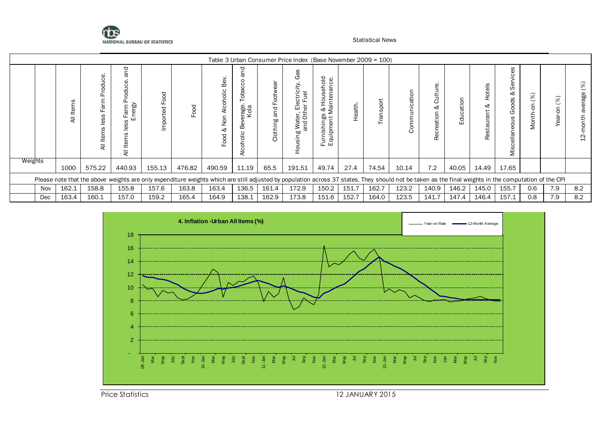

|         |     |                  |              |                                                                                                                                                                                                      |                    |        |                             |                                                                                        |                                | Table 3 Urban Consumer Price Index (Base November 2009 = 100) |                                                                                                           |         |               |                  |                                             |                  |                    |                                                       |                          |                  |          |
|---------|-----|------------------|--------------|------------------------------------------------------------------------------------------------------------------------------------------------------------------------------------------------------|--------------------|--------|-----------------------------|----------------------------------------------------------------------------------------|--------------------------------|---------------------------------------------------------------|-----------------------------------------------------------------------------------------------------------|---------|---------------|------------------|---------------------------------------------|------------------|--------------------|-------------------------------------------------------|--------------------------|------------------|----------|
|         |     | ဖာ<br>Item:<br>₹ | ਨੋ<br>H<br>₹ | ℧<br>ergy<br>ш<br>Φ<br>ᆖ<br>-<br>₹                                                                                                                                                                   | boo<br>ட<br>ported | ood    | ಕ<br>ᄒ<br>√⊇<br>⊲<br>7<br>చ | ⊃<br>$\mathbf{C}$<br>$\circ$<br>$\epsilon$<br>응<br>rage.<br>Kola<br>∞<br>olic<br>Alcoh | ത<br>₹<br>bue<br>٥W<br>Clothin | æ<br>ত<br>ပ<br>ن به<br>0                                      | isehold<br>mance.<br>ã g<br>운<br>H<br>Maint<br>Maint<br>ings<br>ent l<br>shi<br>Ē<br>iaj<br>Furni<br>Equi | Health. | ă<br>$\omega$ | atio<br><u>ാ</u> | ق<br>ultu<br>$\circ$<br>త<br>reation<br>Rec | cation<br>킁<br>Ш | $\frac{9}{6}$<br>చ | $\circ$<br>Ξ.<br>တိ<br>ళ<br>oods<br>Ō<br>ellaneo<br>Σ | $\infty$<br>C<br>⇇<br>ξ. | (%)<br>S<br>Year | 8<br>age |
| Weights |     | 1000             | 575.22       | 440.93                                                                                                                                                                                               | 155.13             | 476.82 | 490.59                      | 11.19                                                                                  | 65.5                           | 191.51                                                        | 49.74                                                                                                     | 27.4    | 74.54         | 10.14            | 7.2                                         | 40.05            | 14.49              | 17.65                                                 |                          |                  |          |
|         |     |                  |              | Please note that the above weights are only expenditure weights which are still adjusted by population across 37 states. They should not be taken as the final weights in the computation of the CPI |                    |        |                             |                                                                                        |                                |                                                               |                                                                                                           |         |               |                  |                                             |                  |                    |                                                       |                          |                  |          |
|         | Nov | 162.1            | 158.8        | 155.8                                                                                                                                                                                                | 157.6              | 163.8  | 163.4                       | 136.5                                                                                  | 161.4                          | 172.9                                                         | 150.2                                                                                                     | 151.7   | 162.7         | 123.2            | 140.9                                       | 146.2            | 145.0              | 155.7                                                 | 0.6                      | 7.9              | 8.2      |
|         | Dec | 163.4            | 160.1        | 157.0                                                                                                                                                                                                | 159.2              | 165.4  | 164.9                       | 138.1                                                                                  | 162.9                          | 173.8                                                         | 151.6                                                                                                     | 152.7   | 164.0         | 123.5            | 141.7                                       | 147.4            | 146.4              | 157.1                                                 | 0.8                      | 7.9              | 8.2      |



Price Statistics 12 JANUARY 2015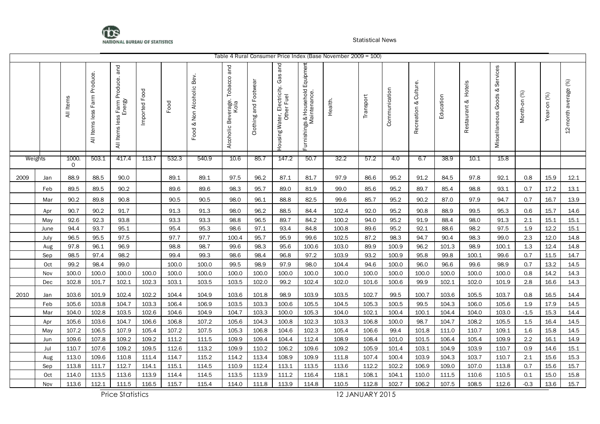

|      |         |                   |                                 |                                               |               |       |                           |                                            |                       |                                                                     |                                                  | Table 4 Rural Consumer Price Index (Base November 2009 = 100) |           |               |                             |           |                        |                                         |              |                |                      |
|------|---------|-------------------|---------------------------------|-----------------------------------------------|---------------|-------|---------------------------|--------------------------------------------|-----------------------|---------------------------------------------------------------------|--------------------------------------------------|---------------------------------------------------------------|-----------|---------------|-----------------------------|-----------|------------------------|-----------------------------------------|--------------|----------------|----------------------|
|      |         | All Items         | Farm Produce.<br>All Items less | and<br>All Items less Farm Produce.<br>Energy | Imported Food | Food  | Food & Non Alcoholic Bev. | and<br>Alcoholic Beverage. Tobacco<br>Kola | Clothing and Footwear | and<br>Gas<br>Electricity.<br>Housing Water, Electric<br>Other Fuel | Furnishings & Household Equipmen<br>Maintenance. | Health.                                                       | Transport | Communication | Culture.<br>જ<br>Recreation | Education | Hotels<br>Restaurant & | Services<br>ಳ<br>Goods<br>Miscellaneous | Month-on (%) | (%)<br>Year-on | 12-month average (%) |
|      | Weights | 1000.<br>$\Omega$ | 503.1                           | 417.4                                         | 113.7         | 532.3 | 540.9                     | 10.6                                       | 85.7                  | 147.2                                                               | 50.7                                             | 32.2                                                          | 57.2      | 4.0           | 6.7                         | 38.9      | 10.1                   | 15.8                                    |              |                |                      |
| 2009 | Jan     | 88.9              | 88.5                            | 90.0                                          |               | 89.1  | 89.1                      | 97.5                                       | 96.2                  | 87.1                                                                | 81.7                                             | 97.9                                                          | 86.6      | 95.2          | 91.2                        | 84.5      | 97.8                   | 92.1                                    | 0.8          | 15.9           | 12.1                 |
|      | Feb     | 89.5              | 89.5                            | 90.2                                          |               | 89.6  | 89.6                      | 98.3                                       | 95.7                  | 89.0                                                                | 81.9                                             | 99.0                                                          | 85.6      | 95.2          | 89.7                        | 85.4      | 98.8                   | 93.1                                    | 0.7          | 17.2           | 13.1                 |
|      | Mar     | 90.2              | 89.8                            | 90.8                                          |               | 90.5  | 90.5                      | 98.0                                       | 96.1                  | 88.8                                                                | 82.5                                             | 99.6                                                          | 85.7      | 95.2          | 90.2                        | 87.0      | 97.9                   | 94.7                                    | 0.7          | 16.7           | 13.9                 |
|      | Apr     | 90.7              | 90.2                            | 91.7                                          |               | 91.3  | 91.3                      | 98.0                                       | 96.2                  | 88.5                                                                | 84.4                                             | 102.4                                                         | 92.0      | 95.2          | 90.8                        | 88.9      | 99.5                   | 95.3                                    | 0.6          | 15.7           | 14.6                 |
|      | May     | 92.6              | 92.3                            | 93.8                                          |               | 93.3  | 93.3                      | 98.8                                       | 96.5                  | 89.7                                                                | 84.2                                             | 100.2                                                         | 94.0      | 95.2          | 91.9                        | 88.4      | 98.0                   | 91.3                                    | 2.1          | 15.1           | 15.1                 |
|      | June    | 94.4              | 93.7                            | 95.1                                          |               | 95.4  | 95.3                      | 98.6                                       | 97.1                  | 93.4                                                                | 84.8                                             | 100.8                                                         | 89.6      | 95.2          | 92.1                        | 88.6      | 98.2                   | 97.5                                    | 1.9          | 12.2           | 15.1                 |
|      | July    | 96.5              | 95.5                            | 97.5                                          |               | 97.7  | 97.7                      | 100.4                                      | 95.7                  | 95.9                                                                | 99.6                                             | 102.5                                                         | 87.2      | 98.3          | 94.7                        | 90.4      | 98.3                   | 99.0                                    | 2.3          | 12.0           | 14.8                 |
|      | Aug     | 97.8              | 96.1                            | 96.9                                          |               | 98.8  | 98.7                      | 99.6                                       | 98.3                  | 95.6                                                                | 100.6                                            | 103.0                                                         | 89.9      | 100.9         | 96.2                        | 101.3     | 98.9                   | 100.1                                   | 1.3          | 12.4           | 14.8                 |
|      | Sep     | 98.5              | 97.4                            | 98.2                                          |               | 99.4  | 99.3                      | 98.6                                       | 98.4                  | 96.8                                                                | 97.2                                             | 103.9                                                         | 93.2      | 100.9         | 95.8                        | 99.8      | 100.1                  | 99.6                                    | 0.7          | 11.5           | 14.7                 |
|      | Oct     | 99.2              | 98.4                            | 99.0                                          |               | 100.0 | 100.0                     | 99.5                                       | 98.9                  | 97.9                                                                | 98.0                                             | 104.4                                                         | 94.6      | 100.0         | 96.0                        | 96.6      | 99.6                   | 98.9                                    | 0.7          | 13.2           | 14.5                 |
|      | Nov     | 100.0             | 100.0                           | 100.0                                         | 100.0         | 100.0 | 100.0                     | 100.0                                      | 100.0                 | 100.0                                                               | 100.0                                            | 100.0                                                         | 100.0     | 100.0         | 100.0                       | 100.0     | 100.0                  | 100.0                                   | 0.8          | 14.2           | 14.3                 |
|      | Dec     | 102.8             | 101.7                           | 102.1                                         | 102.3         | 103.1 | 103.5                     | 103.5                                      | 102.0                 | 99.2                                                                | 102.4                                            | 102.0                                                         | 101.6     | 100.6         | 99.9                        | 102.1     | 102.0                  | 101.9                                   | 2.8          | 16.6           | 14.3                 |
| 2010 | Jan     | 103.6             | 101.9                           | 102.4                                         | 102.2         | 104.4 | 104.9                     | 103.6                                      | 101.8                 | 98.9                                                                | 103.9                                            | 103.5                                                         | 102.7     | 99.5          | 100.7                       | 103.6     | 105.5                  | 103.7                                   | 0.8          | 16.5           | 14.4                 |
|      | Feb     | 105.6             | 103.8                           | 104.7                                         | 103.3         | 106.4 | 106.9                     | 103.5                                      | 103.3                 | 100.6                                                               | 105.5                                            | 104.5                                                         | 105.3     | 100.5         | 99.5                        | 104.3     | 106.0                  | 105.6                                   | 1.9          | 17.9           | 14.5                 |
|      | Mar     | 104.0             | 102.8                           | 103.5                                         | 102.6         | 104.6 | 104.9                     | 104.7                                      | 103.3                 | 100.0                                                               | 105.3                                            | 104.0                                                         | 102.1     | 100.4         | 100.1                       | 104.4     | 104.0                  | 103.0                                   | $-1.5$       | 15.3           | 14.4                 |
|      | Apr     | 105.6             | 103.6                           | 104.7                                         | 106.6         | 106.8 | 107.2                     | 105.6                                      | 104.3                 | 100.8                                                               | 102.3                                            | 103.3                                                         | 106.8     | 100.0         | 98.7                        | 104.7     | 108.2                  | 105.5                                   | 1.5          | 16.4           | 14.5                 |
|      | May     | 107.2             | 106.5                           | 107.9                                         | 105.4         | 107.2 | 107.5                     | 105.3                                      | 106.8                 | 104.6                                                               | 102.3                                            | 105.4                                                         | 106.6     | 99.4          | 101.8                       | 111.0     | 110.7                  | 109.1                                   | 1.6          | 15.8           | 14.5                 |
|      | Jun     | 109.6             | 107.8                           | 109.2                                         | 109.2         | 111.2 | 111.5                     | 109.9                                      | 109.4                 | 104.4                                                               | 112.4                                            | 108.9                                                         | 108.4     | 101.0         | 101.5                       | 106.4     | 105.4                  | 109.9                                   | 2.2          | 16.1           | 14.9                 |
|      | Jul     | 110.7             | 107.6                           | 109.2                                         | 109.5         | 112.6 | 113.2                     | 109.9                                      | 110.2                 | 106.2                                                               | 109.6                                            | 109.2                                                         | 105.9     | 101.4         | 103.1                       | 104.9     | 103.9                  | 110.7                                   | 0.9          | 14.6           | 15.1                 |
|      | Aug     | 113.0             | 109.6                           | 110.8                                         | 111.4         | 114.7 | 115.2                     | 114.2                                      | 113.4                 | 108.9                                                               | 109.9                                            | 111.8                                                         | 107.4     | 100.4         | 103.9                       | 104.3     | 103.7                  | 110.7                                   | 2.1          | 15.6           | 15.3                 |
|      | Sep     | 113.8             | 111.7                           | 112.7                                         | 114.1         | 115.1 | 114.5                     | 110.9                                      | 112.4                 | 113.1                                                               | 113.5                                            | 113.6                                                         | 112.2     | 102.2         | 106.9                       | 109.0     | 107.0                  | 113.8                                   | 0.7          | 15.6           | 15.7                 |
|      | Oct     | 114.0             | 113.5                           | 113.6                                         | 113.9         | 114.4 | 114.5                     | 113.5                                      | 113.9                 | 111.2                                                               | 116.4                                            | 118.1                                                         | 108.1     | 104.1         | 110.0                       | 111.5     | 110.6                  | 110.5                                   | 0.1          | 15.0           | 15.8                 |
|      | Nov     | 113.6             | 112.1                           | 111.5                                         | 116.5         | 115.7 | 115.4                     | 114.0                                      | 111.8                 | 113.9                                                               | 114.8                                            | 110.5                                                         | 112.8     | 102.7         | 106.2                       | 107.5     | 108.5                  | 112.6                                   | $-0.3$       | 13.6           | 15.7                 |

Price Statistics 12 JANUARY 2015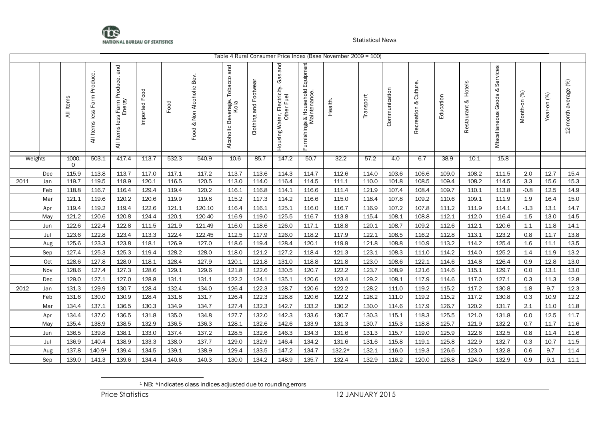

|         |     |                   |                                       |                                               |                  |       |                              |                                            |                       |                                                      |                                                   | Table 4 Rural Consumer Price Index (Base November 2009 = 100) |           |               |                             |           |                           |                                         |              |                |                      |
|---------|-----|-------------------|---------------------------------------|-----------------------------------------------|------------------|-------|------------------------------|--------------------------------------------|-----------------------|------------------------------------------------------|---------------------------------------------------|---------------------------------------------------------------|-----------|---------------|-----------------------------|-----------|---------------------------|-----------------------------------------|--------------|----------------|----------------------|
|         |     | All Items         | Produce.<br>Farm<br>less<br>All Items | Farm Produce. and<br>Energy<br>All Items less | Food<br>Imported | Food  | & Non Alcoholic Bev.<br>Food | and<br>Alcoholic Beverage. Tobacco<br>Kola | Clothing and Footwear | and<br>Housing Water, Electricity. Gas<br>Other Fuel | Furnishings & Household Equipment<br>Maintenance. | Health.                                                       | Transport | Communication | Culture.<br>ಳ<br>Recreation | Education | Hotels<br>ನ<br>Restaurant | Services<br>જ<br>Goods<br>Miscellaneous | Month-on (%) | (%)<br>Year-on | 12-month average (%) |
| Weights |     | 1000.<br>$\Omega$ | 503.1                                 | 417.4                                         | 113.7            | 532.3 | 540.9                        | 10.6                                       | 85.7                  | 147.2                                                | 50.7                                              | 32.2                                                          | 57.2      | 4.0           | 6.7                         | 38.9      | 10.1                      | 15.8                                    |              |                |                      |
|         | Dec | 115.9             | 113.8                                 | 113.7                                         | 117.0            | 117.1 | 117.2                        | 113.7                                      | 113.6                 | 114.3                                                | 114.7                                             | 112.6                                                         | 114.0     | 103.6         | 106.6                       | 109.0     | 108.2                     | 111.5                                   | $2.0\,$      | 12.7           | 15.4                 |
| 2011    | Jan | 119.7             | 119.5                                 | 118.9                                         | 120.1            | 116.5 | 120.5                        | 113.0                                      | 114.0                 | 116.4                                                | 114.5                                             | 111.1                                                         | 110.0     | 101.8         | 108.5                       | 109.4     | 108.2                     | 114.5                                   | 3.3          | 15.6           | 15.3                 |
|         | Feb | 118.8             | 116.7                                 | 116.4                                         | 129.4            | 119.4 | 120.2                        | 116.1                                      | 116.8                 | 114.1                                                | 116.6                                             | 111.4                                                         | 121.9     | 107.4         | 108.4                       | 109.7     | 110.1                     | 113.8                                   | $-0.8$       | 12.5           | 14.9                 |
|         | Mar | 121.1             | 119.6                                 | 120.2                                         | 120.6            | 119.9 | 119.8                        | 115.2                                      | 117.3                 | 114.2                                                | 116.6                                             | 115.0                                                         | 118.4     | 107.8         | 109.2                       | 110.6     | 109.1                     | 111.9                                   | $1.9$        | 16.4           | 15.0                 |
|         | Apr | 119.4             | 119.2                                 | 119.4                                         | 122.6            | 121.1 | 120.10                       | 116.4                                      | 116.1                 | 125.1                                                | 116.0                                             | 116.7                                                         | 116.9     | 107.2         | 107.8                       | 111.2     | 111.9                     | 114.1                                   | $-1.3$       | 13.1           | 14.7                 |
|         | May | 121.2             | 120.6                                 | 120.8                                         | 124.4            | 120.1 | 120.40                       | 116.9                                      | 119.0                 | 125.5                                                | 116.7                                             | 113.8                                                         | 115.4     | 108.1         | 108.8                       | 112.1     | 112.0                     | 116.4                                   | 1.5          | 13.0           | 14.5                 |
|         | Jun | 122.6             | 122.4                                 | 122.8                                         | 111.5            | 121.9 | 121.49                       | 116.0                                      | 118.6                 | 126.0                                                | 117.1                                             | 118.8                                                         | 120.1     | 108.7         | 109.2                       | 112.6     | 112.1                     | 120.6                                   | 1.1          | 11.8           | 14.1                 |
|         | Jul | 123.6             | 122.8                                 | 123.4                                         | 113.3            | 122.4 | 122.45                       | 112.5                                      | 117.9                 | 126.0                                                | 118.2                                             | 117.9                                                         | 122.1     | 108.5         | 116.2                       | 112.8     | 113.1                     | 123.2                                   | 0.8          | 11.7           | 13.8                 |
|         | Aug | 125.6             | 123.3                                 | 123.8                                         | 118.1            | 126.9 | 127.0                        | 118.6                                      | 119.4                 | 128.4                                                | 120.1                                             | 119.9                                                         | 121.8     | 108.8         | 110.9                       | 113.2     | 114.2                     | 125.4                                   | 1.6          | 11.1           | 13.5                 |
|         | Sep | 127.4             | 125.3                                 | 125.3                                         | 119.4            | 128.2 | 128.0                        | 118.0                                      | 121.2                 | 127.2                                                | 118.4                                             | 121.3                                                         | 123.1     | 108.3         | 111.0                       | 114.2     | 114.0                     | 125.2                                   | 1.4          | 11.9           | 13.2                 |
|         | Oct | 128.6             | 127.8                                 | 128.0                                         | 118.1            | 128.4 | 127.9                        | 120.1                                      | 121.8                 | 131.0                                                | 118.8                                             | 121.8                                                         | 123.0     | 108.6         | 122.1                       | 114.6     | 114.8                     | 126.4                                   | 0.9          | 12.8           | 13.0                 |
|         | Nov | 128.6             | 127.4                                 | 127.3                                         | 128.6            | 129.1 | 129.6                        | 121.8                                      | 122.6                 | 130.5                                                | 120.7                                             | 122.2                                                         | 123.7     | 108.9         | 121.6                       | 114.6     | 115.1                     | 129.7                                   | 0.0          | 13.1           | 13.0                 |
|         | Dec | 129.0             | 127.1                                 | 127.0                                         | 128.8            | 131.1 | 131.1                        | 122.2                                      | 124.1                 | 135.1                                                | 120.6                                             | 123.4                                                         | 129.2     | 108.1         | 117.9                       | 114.6     | 117.0                     | 127.1                                   | 0.3          | 11.3           | 12.8                 |
| 2012    | Jan | 131.3             | 129.9                                 | 130.7                                         | 128.4            | 132.4 | 134.0                        | 126.4                                      | 122.3                 | 128.7                                                | 120.6                                             | 122.2                                                         | 128.2     | 111.0         | 119.2                       | 115.2     | 117.2                     | 130.8                                   | 1.8          | 9.7            | 12.3                 |
|         | Feb | 131.6             | 130.0                                 | 130.9                                         | 128.4            | 131.8 | 131.7                        | 126.4                                      | 122.3                 | 128.8                                                | 120.6                                             | 122.2                                                         | 128.2     | 111.0         | 119.2                       | 115.2     | 117.2                     | 130.8                                   | 0.3          | 10.9           | 12.2                 |
|         | Mar | 134.4             | 137.1                                 | 136.5                                         | 130.3            | 134.9 | 134.7                        | 127.4                                      | 132.3                 | 142.7                                                | 133.2                                             | 130.2                                                         | 130.0     | 114.6         | 117.9                       | 126.7     | 120.2                     | 131.7                                   | 2.1          | 11.0           | 11.8                 |
|         | Apr | 134.4             | 137.0                                 | 136.5                                         | 131.8            | 135.0 | 134.8                        | 127.7                                      | 132.0                 | 142.3                                                | 133.6                                             | 130.7                                                         | 130.3     | 115.1         | 118.3                       | 125.5     | 121.0                     | 131.8                                   | 0.0          | 12.5           | 11.7                 |
|         | May | 135.4             | 138.9                                 | 138.5                                         | 132.9            | 136.5 | 136.3                        | 128.1                                      | 132.6                 | 142.6                                                | 133.9                                             | 131.3                                                         | 130.7     | 115.3         | 118.8                       | 125.7     | 121.9                     | 132.2                                   | 0.7          | 11.7           | 11.6                 |
|         | Jun | 136.5             | 139.8                                 | 138.1                                         | 133.0            | 137.4 | 137.2                        | 128.5                                      | 132.6                 | 146.3                                                | 134.3                                             | 131.6                                                         | 131.3     | 115.7         | 119.0                       | 125.9     | 122.6                     | 132.5                                   | 0.8          | 11.4           | 11.6                 |
|         | Jul | 136.9             | 140.4                                 | 138.9                                         | 133.3            | 138.0 | 137.7                        | 129.0                                      | 132.9                 | 146.4                                                | 134.2                                             | 131.6                                                         | 131.6     | 115.8         | 119.1                       | 125.8     | 122.9                     | 132.7                                   | 0.3          | 10.7           | 11.5                 |
|         | Aug | 137.8             | 140.91                                | 139.4                                         | 134.5            | 139.1 | 138.9                        | 129.4                                      | 133.5                 | 147.2                                                | 134.7                                             | $132.2*$                                                      | 132.1     | 116.0         | 119.3                       | 126.6     | 123.0                     | 132.8                                   | 0.6          | 9.7            | 11.4                 |
|         | Sep | 139.0             | 141.3                                 | 139.6                                         | 134.4            | 140.6 | 140.3                        | 130.0                                      | 134.2                 | 148.9                                                | 135.7                                             | 132.4                                                         | 132.9     | 116.2         | 120.0                       | 126.8     | 124.0                     | 132.9                                   | 0.9          | 9.1            | 11.1                 |

<sup>&</sup>lt;sup>1</sup> NB: \*indicates class indices adjusted due to rounding errors

l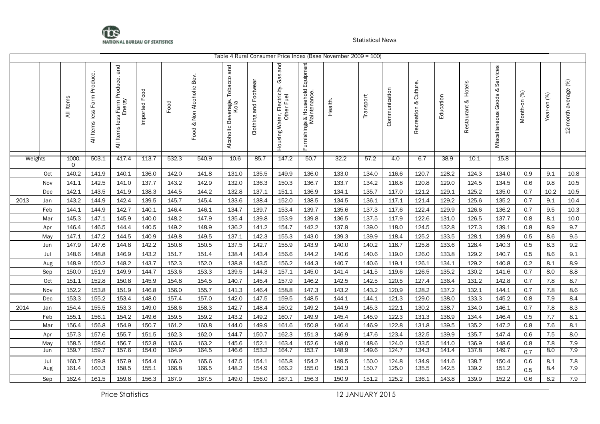

|      |         |            |                                          |                                               |                  |       |                              |                                            |                       |                                                                     |                                                     | Table 4 Rural Consumer Price Index (Base November 2009 = 100) |           |               |                             |           |                        |                                         |              |                |                      |
|------|---------|------------|------------------------------------------|-----------------------------------------------|------------------|-------|------------------------------|--------------------------------------------|-----------------------|---------------------------------------------------------------------|-----------------------------------------------------|---------------------------------------------------------------|-----------|---------------|-----------------------------|-----------|------------------------|-----------------------------------------|--------------|----------------|----------------------|
|      |         | All Items  | <b>Produce</b><br>Farm<br>All Items less | Farm Produce. and<br>Energy<br>All Items less | Food<br>Imported | Food  | & Non Alcoholic Bev.<br>Food | and<br>Alcoholic Beverage. Tobacco<br>Kola | Clothing and Footwear | and<br>Gas<br>Electricity.<br>Housing Water, Electric<br>Other Fuel | Equipmen<br>Furnishings & Household<br>Maintenance. | Health.                                                       | Transport | Communication | Culture.<br>જ<br>Recreation | Education | Hotels<br>Restaurant & | Services<br>ಳ<br>Goods<br>Miscellaneous | Month-on (%) | (%)<br>Year-on | 12-month average (%) |
|      | Weights | 1000.<br>0 | 503.1                                    | 417.4                                         | 113.7            | 532.3 | 540.9                        | 10.6                                       | 85.7                  | 147.2                                                               | 50.7                                                | 32.2                                                          | 57.2      | 4.0           | 6.7                         | 38.9      | 10.1                   | 15.8                                    |              |                |                      |
|      | Oct     | 140.2      | 141.9                                    | 140.1                                         | 136.0            | 142.0 | 141.8                        | 131.0                                      | 135.5                 | 149.9                                                               | 136.0                                               | 133.0                                                         | 134.0     | 116.6         | 120.7                       | 128.2     | 124.3                  | 134.0                                   | 0.9          | 9.1            | 10.8                 |
|      | Nov     | 141.1      | 142.5                                    | 141.0                                         | 137.7            | 143.2 | 142.9                        | 132.0                                      | 136.3                 | 150.3                                                               | 136.7                                               | 133.7                                                         | 134.2     | 116.8         | 120.8                       | 129.0     | 124.5                  | 134.5                                   | 0.6          | 9.8            | 10.5                 |
|      | Dec     | 142.1      | 143.5                                    | 141.9                                         | 138.3            | 144.5 | 144.2                        | 132.8                                      | 137.1                 | 151.1                                                               | 136.9                                               | 134.1                                                         | 135.7     | 117.0         | 121.2                       | 129.1     | 125.2                  | 135.0                                   | 0.7          | 10.2           | 10.5                 |
| 2013 | Jan     | 143.2      | 144.9                                    | 142.4                                         | 139.5            | 145.7 | 145.4                        | 133.6                                      | 138.4                 | 152.0                                                               | 138.5                                               | 134.5                                                         | 136.1     | 117.1         | 121.4                       | 129.2     | 125.6                  | 135.2                                   | 0.7          | 9.1            | 10.4                 |
|      | Feb     | 144.1      | 144.9                                    | 142.7                                         | 140.1            | 146.4 | 146.1                        | 134.7                                      | 139.7                 | 153.4                                                               | 139.7                                               | 135.6                                                         | 137.3     | 117.6         | 122.4                       | 129.9     | 126.6                  | 136.2                                   | 0.7          | 9.5            | $10.3\,$             |
|      | Mar     | 145.3      | 147.1                                    | 145.9                                         | 140.0            | 148.2 | 147.9                        | 135.4                                      | 139.8                 | 153.9                                                               | 139.8                                               | 136.5                                                         | 137.5     | 117.9         | 122.6                       | 131.0     | 126.5                  | 137.7                                   | 0.8          | 8.1            | $10.0\,$             |
|      | Apr     | 146.4      | 146.5                                    | 144.4                                         | 140.5            | 149.2 | 148.9                        | 136.2                                      | 141.2                 | 154.7                                                               | 142.2                                               | 137.9                                                         | 139.0     | 118.0         | 124.5                       | 132.8     | 127.3                  | 139.1                                   | 0.8          | 8.9            | 9.7                  |
|      | May     | 147.1      | 147.2                                    | 144.5                                         | 140.9            | 149.8 | 149.5                        | 137.1                                      | 142.3                 | 155.3                                                               | 143.0                                               | 139.3                                                         | 139.9     | 118.4         | 125.2                       | 133.5     | 128.1                  | 139.9                                   | 0.5          | 8.6            | 9.5                  |
|      | Jun     | 147.9      | 147.6                                    | 144.8                                         | 142.2            | 150.8 | 150.5                        | 137.5                                      | 142.7                 | 155.9                                                               | 143.9                                               | 140.0                                                         | 140.2     | 118.7         | 125.8                       | 133.6     | 128.4                  | 140.3                                   | 0.5          | 8.3            | 9.2                  |
|      | Jul     | 148.6      | 148.8                                    | 146.9                                         | 143.2            | 151.7 | 151.4                        | 138.4                                      | 143.4                 | 156.6                                                               | 144.2                                               | 140.6                                                         | 140.6     | 119.0         | 126.0                       | 133.8     | 129.2                  | 140.7                                   | 0.5          | 8.6            | 9.1                  |
|      | Aug     | 148.9      | 150.2                                    | 148.2                                         | 143.7            | 152.3 | 152.0                        | 138.8                                      | 143.5                 | 156.2                                                               | 144.3                                               | 140.7                                                         | 140.6     | 119.1         | 126.1                       | 134.1     | 129.2                  | 140.8                                   | 0.2          | 8.1            | 8.9                  |
|      | Sep     | 150.0      | 151.9                                    | 149.9                                         | 144.7            | 153.6 | 153.3                        | 139.5                                      | 144.3                 | 157.1                                                               | 145.0                                               | 141.4                                                         | 141.5     | 119.6         | 126.5                       | 135.2     | 130.2                  | 141.6                                   | 0.7          | 8.0            | 8.8                  |
|      | Oct     | 151.1      | 152.8                                    | 150.8                                         | 145.9            | 154.8 | 154.5                        | 140.7                                      | 145.4                 | 157.9                                                               | 146.2                                               | 142.5                                                         | 142.5     | 120.5         | 127.4                       | 136.4     | 131.2                  | 142.8                                   | 0.7          | 7.8            | 8.7                  |
|      | Nov     | 152.2      | 153.8                                    | 151.9                                         | 146.8            | 156.0 | 155.7                        | 141.3                                      | 146.4                 | 158.8                                                               | 147.3                                               | 143.2                                                         | 143.2     | 120.9         | 128.2                       | 137.2     | 132.1                  | 144.1                                   | 0.7          | 7.8            | 8.6                  |
|      | Dec     | 153.3      | 155.2                                    | 153.4                                         | 148.0            | 157.4 | 157.0                        | 142.0                                      | 147.5                 | 159.5                                                               | 148.5                                               | 144.1                                                         | 144.1     | 121.3         | 129.0                       | 138.0     | 133.3                  | 145.2                                   | 0.8          | 7.9            | 8.4                  |
| 2014 | Jan     | 154.4      | 155.5                                    | 153.3                                         | 149.0            | 158.6 | 158.3                        | 142.7                                      | 148.4                 | 160.2                                                               | 149.2                                               | 144.9                                                         | 145.3     | 122.1         | 130.2                       | 138.7     | 134.0                  | 146.1                                   | 0.7          | 7.8            | 8.3                  |
|      | Feb     | 155.1      | 156.1                                    | 154.2                                         | 149.6            | 159.5 | 159.2                        | 143.2                                      | 149.2                 | 160.7                                                               | 149.9                                               | 145.4                                                         | 145.9     | 122.3         | 131.3                       | 138.9     | 134.4                  | 146.4                                   | 0.5          | 7.7            | 8.1                  |
|      | Mar     | 156.4      | 156.8                                    | 154.9                                         | 150.7            | 161.2 | 160.8                        | 144.0                                      | 149.9                 | 161.6                                                               | 150.8                                               | 146.4                                                         | 146.9     | 122.8         | 131.8                       | 139.5     | 135.2                  | 147.2                                   | 0.8          | 7.6            | 8.1                  |
|      | Apr     | 157.3      | 157.6                                    | 155.7                                         | 151.5            | 162.3 | 162.0                        | 144.7                                      | 150.7                 | 162.3                                                               | 151.3                                               | 146.9                                                         | 147.6     | 123.4         | 132.5                       | 139.9     | 135.7                  | 147.4                                   | 0.6          | $7.5\,$        | 8.0                  |
|      | May     | 158.5      | 158.6                                    | 156.7                                         | 152.8            | 163.6 | 163.2                        | 145.6                                      | 152.1                 | 163.4                                                               | 152.6                                               | 148.0                                                         | 148.6     | 124.0         | 133.5                       | 141.0     | 136.9                  | 148.6                                   | 0.8          | 7.8            | 7.9                  |
|      | Jun     | 159.7      | 159.7                                    | 157.6                                         | 154.0            | 164.9 | 164.5                        | 146.6                                      | 153.2                 | 164.7                                                               | 153.7                                               | 148.9                                                         | 149.6     | 124.7         | 134.3                       | 141.4     | 137.8                  | 149.7                                   | 0.7          | 8.0            | 7.9                  |
|      | Jul     | 160.7      | 159.8                                    | 157.9                                         | 154.4            | 166.0 | 165.6                        | 147.5                                      | 154.1                 | 165.8                                                               | 154.2                                               | 149.5                                                         | 150.0     | 124.8         | 134.9                       | 141.6     | 138.7                  | 150.4                                   | 0.6          | 8.1            | 7.8                  |
|      | Aug     | 161.4      | 160.3                                    | 158.5                                         | 155.1            | 166.8 | 166.5                        | 148.2                                      | 154.9                 | 166.2                                                               | 155.0                                               | 150.3                                                         | 150.7     | 125.0         | 135.5                       | 142.5     | 139.2                  | 151.2                                   | 0.5          | 8.4            | 7.9                  |
|      | Sep     | 162.4      | 161.5                                    | 159.8                                         | 156.3            | 167.9 | 167.5                        | 149.0                                      | 156.0                 | 167.1                                                               | 156.3                                               | 150.9                                                         | 151.2     | 125.2         | 136.1                       | 143.8     | 139.9                  | 152.2                                   | 0.6          | 8.2            | 7.9                  |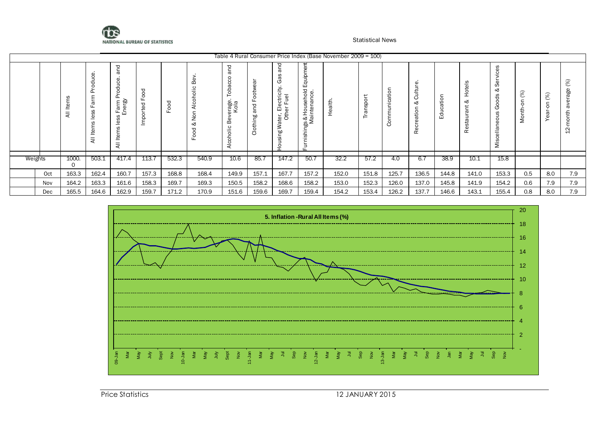

|         |                |                       |                                                                                       |                         |                         |                             |                                                                             |                          |                                                    |                                                                       | Table 4 Rural Consumer Price Index (Base November 2009 = 100) |                         |                                                              |                                                                          |                           |             |                                                                               |                                            |                    |                                                                               |
|---------|----------------|-----------------------|---------------------------------------------------------------------------------------|-------------------------|-------------------------|-----------------------------|-----------------------------------------------------------------------------|--------------------------|----------------------------------------------------|-----------------------------------------------------------------------|---------------------------------------------------------------|-------------------------|--------------------------------------------------------------|--------------------------------------------------------------------------|---------------------------|-------------|-------------------------------------------------------------------------------|--------------------------------------------|--------------------|-------------------------------------------------------------------------------|
|         | ₫<br>$\bar{a}$ | ਨ<br>Œ<br>œ<br>≅<br>ਕ | pq<br>σ<br>C)<br>Ō<br>킁<br>$\circ$<br>௳<br>: Farm<br>Energy<br>ess<br>∸<br>Items<br>₹ | ರ<br>ட<br>ರ<br>$\Omega$ | ರ<br>Ō<br>$\circ$<br>ட் | ≃<br>₹<br>$\circ$<br>ź<br>∞ | P<br>Ō<br>ت<br>ω<br>ä<br>╾<br>erage<br>Kola<br>Φ<br>∞<br>ပ<br>ijor<br>Alcoh | $\sigma$<br>۵O<br>옵<br>ਨ | 몯<br>C<br>⋧<br>'ರ<br>Ë<br>靣<br>こま<br>ة ق<br>۵<br>÷ | quipn<br>ш<br>ngs & Household E<br>Maintenance.<br>shi<br>≔<br>$\Box$ | 主<br>σ<br>오                                                   | $\circ$<br>ă<br>Sp<br>σ | $\Box$<br>$\circ$<br>ω<br>ပ<br>Έ<br>=<br>$\overline{ }$<br>⌒ | $\mathbf \omega$<br>έ<br>જ<br>⊂<br>$\circ$<br>Φ<br>ω<br>Φ<br>ត<br>Φ<br>œ | $\circ$<br>Φ<br>duca<br>ш | ÷<br>H<br>જ | S<br>C)<br>Ō<br>≪<br>ಕ<br>◠<br>৩<br>◠<br>Φ<br>$\sigma$<br>⋍<br>$\bigcap$<br>Σ | (%)<br>$\mathsf{S}^{\mathsf{C}}$<br>Month- | (%)<br>◠<br>σ<br>Φ | (%)<br>8<br>$\omega$<br>$\omega$<br>$\sigma$<br>こ<br>=<br>$\circ$<br>$\Delta$ |
| Weights | 1000.<br>0     | 503.1                 | 417.4                                                                                 | 113.7                   | 532.3                   | 540.9                       | 10.6                                                                        | 85.7                     | 147.2                                              | 50.7                                                                  | 32.2                                                          | 57.2                    | 4.0                                                          | 6.7                                                                      | 38.9                      | 10.1        | 15.8                                                                          |                                            |                    |                                                                               |
| Oct     | 163.3          | 162.4                 | 160.7                                                                                 | 157.3                   | 168.8                   | 168.4                       | 149.9                                                                       | 157.1                    | 167.7                                              | 157.2                                                                 | 152.0                                                         | 151.8                   | 125.7                                                        | 136.5                                                                    | 144.8                     | 141.0       | 153.3                                                                         | 0.5                                        | 8.0                | 7.9                                                                           |
| Nov     | 164.2          | 163.3                 | 161.6                                                                                 | 158.3                   | 169.7                   | 169.3                       | 150.5                                                                       | 158.2                    | 168.6                                              | 158.2                                                                 | 153.0                                                         | 152.3                   | 126.0                                                        | 137.0                                                                    | 145.8                     | 141.9       | 154.2                                                                         | 0.6                                        | 7.9                | 7.9                                                                           |
| Dec     | 165.5          | 164.6                 | 162.9                                                                                 | 159.7                   | 171.2                   | 170.9                       | 151.6                                                                       | 159.6                    | 169.7                                              | 159.4                                                                 | 154.2                                                         | 153.4                   | 126.2                                                        | 137.7                                                                    | 146.6                     | 143.1       | 155.4                                                                         | 0.8                                        | 8.0                | 7.9                                                                           |